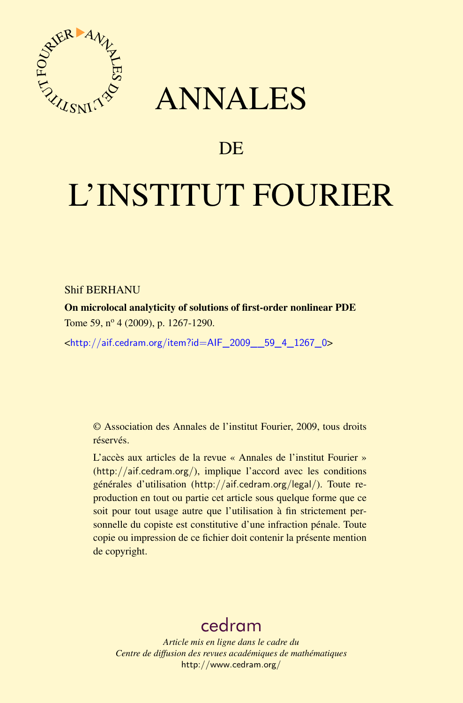

## ANNALES

### **DE**

# L'INSTITUT FOURIER

#### Shif BERHANU

On microlocal analyticity of solutions of first-order nonlinear PDE Tome 59, nº 4 (2009), p. 1267-1290.

<[http://aif.cedram.org/item?id=AIF\\_2009\\_\\_59\\_4\\_1267\\_0](http://aif.cedram.org/item?id=AIF_2009__59_4_1267_0)>

© Association des Annales de l'institut Fourier, 2009, tous droits réservés.

L'accès aux articles de la revue « Annales de l'institut Fourier » (<http://aif.cedram.org/>), implique l'accord avec les conditions générales d'utilisation (<http://aif.cedram.org/legal/>). Toute reproduction en tout ou partie cet article sous quelque forme que ce soit pour tout usage autre que l'utilisation à fin strictement personnelle du copiste est constitutive d'une infraction pénale. Toute copie ou impression de ce fichier doit contenir la présente mention de copyright.

## [cedram](http://www.cedram.org/)

*Article mis en ligne dans le cadre du Centre de diffusion des revues académiques de mathématiques* <http://www.cedram.org/>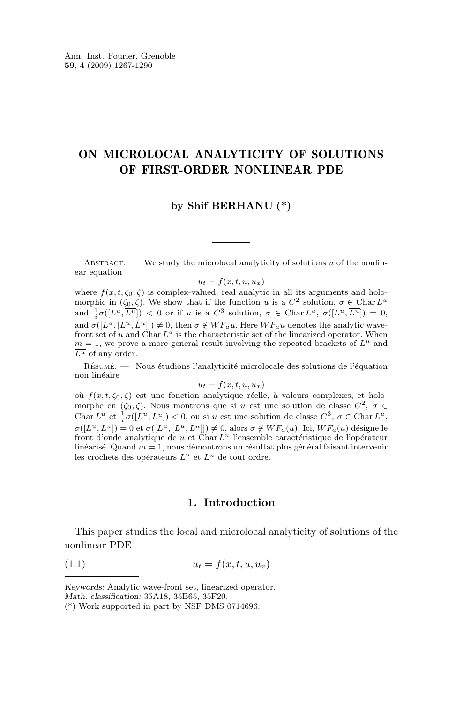#### <span id="page-1-0"></span>ON MICROLOCAL ANALYTICITY OF SOLUTIONS OF FIRST-ORDER NONLINEAR PDE

#### **by Shif BERHANU (\*)**

ABSTRACT. — We study the microlocal analyticity of solutions  $u$  of the nonlinear equation

 $u_t = f(x, t, u, u_x)$ 

where  $f(x, t, \zeta_0, \zeta)$  is complex-valued, real analytic in all its arguments and holomorphic in  $(\zeta_0, \zeta)$ . We show that if the function u is a  $C^2$  solution,  $\sigma \in \text{Char } L^u$ and  $\frac{1}{i}\sigma([L^u,\overline{L^u}]) < 0$  or if u is a  $C^3$  solution,  $\sigma \in \text{Char } L^u$ ,  $\sigma([L^u,\overline{L^u}]) = 0$ , and  $\sigma([L^u, [L^u, \overline{L^u}]]) \neq 0$ , then  $\sigma \notin WF_a u$ . Here  $WF_a u$  denotes the analytic wavefront set of u and Char  $L^u$  is the characteristic set of the linearized operator. When  $m = 1$ , we prove a more general result involving the repeated brackets of  $L<sup>u</sup>$  and  $\overline{L^u}$  of any order.

Résumé. — Nous étudions l'analyticité microlocale des solutions de l'équation non linéaire

$$
u_t = f(x, t, u, u_x)
$$

où  $f(x, t, \zeta_0, \zeta)$  est une fonction analytique réelle, à valeurs complexes, et holomorphe en  $(\zeta_0, \zeta)$ . Nous montrons que si u est une solution de classe  $C^2$ ,  $\sigma \in$ Char  $L^u$  et  $\frac{1}{i}\sigma([L^u, \overline{L^u}]) < 0$ , ou si u est une solution de classe  $C^3$ ,  $\sigma \in \text{Char } L^u$ ,  $\sigma([L^u, \overline{L^u}]) = 0$  et  $\sigma([L^u, [L^u, \overline{L^u}]]) \neq 0$ , alors  $\sigma \notin WF_a(u)$ . Ici,  $WF_a(u)$  désigne le front d'onde analytique de  $u$  et Char  $L^u$  l'ensemble caractéristique de l'opérateur linéarisé. Quand  $m = 1$ , nous démontrons un résultat plus général faisant intervenir les crochets des opérateurs  $L^u$  et  $\overline{L^u}$  de tout ordre.

#### **1. Introduction**

This paper studies the local and microlocal analyticity of solutions of the nonlinear PDE

$$
(1.1) \t\t u_t = f(x, t, u, u_x)
$$

*Keywords:* Analytic wave-front set, linearized operator. *Math. classification:* 35A18, 35B65, 35F20.

<sup>(\*)</sup> Work supported in part by NSF DMS 0714696.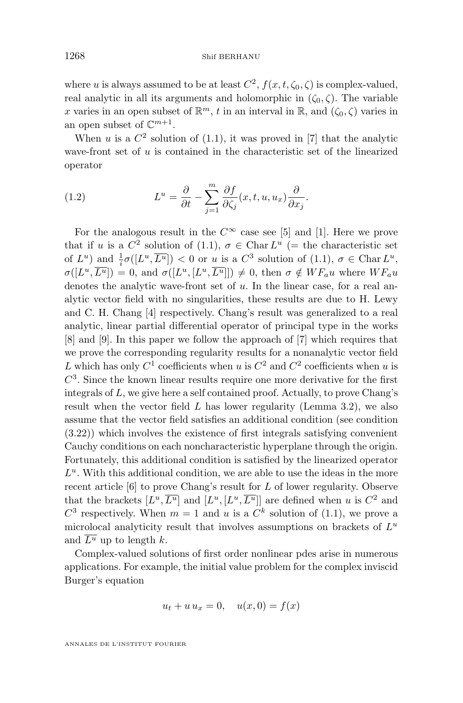where u is always assumed to be at least  $C^2$ ,  $f(x, t, \zeta_0, \zeta)$  is complex-valued, real analytic in all its arguments and holomorphic in  $(\zeta_0, \zeta)$ . The variable x varies in an open subset of  $\mathbb{R}^m$ , t in an interval in  $\mathbb{R}$ , and  $(\zeta_0, \zeta)$  varies in an open subset of  $\mathbb{C}^{m+1}$ .

When u is a  $C^2$  solution of [\(1.1\)](#page-1-0), it was proved in [\[7\]](#page-24-0) that the analytic wave-front set of  $u$  is contained in the characteristic set of the linearized operator

(1.2) 
$$
L^{u} = \frac{\partial}{\partial t} - \sum_{j=1}^{m} \frac{\partial f}{\partial \zeta_{j}}(x, t, u, u_{x}) \frac{\partial}{\partial x_{j}}.
$$

For the analogous result in the  $C^{\infty}$  case see [\[5\]](#page-24-0) and [\[1\]](#page-24-0). Here we prove that if u is a  $C^2$  solution of [\(1.1\)](#page-1-0),  $\sigma \in \text{Char } L^u$  (= the characteristic set of  $L^u$ ) and  $\frac{1}{i}\sigma([L^u,\overline{L^u}]) < 0$  or  $\underline{u}$  is a  $C^3$  solution of  $(1.1), \sigma \in \text{Char } L^u$  $(1.1), \sigma \in \text{Char } L^u$ ,  $\sigma([L^u, \overline{L^u}]) = 0$ , and  $\sigma([L^u, [L^u, \overline{L^u}]]) \neq 0$ , then  $\sigma \notin WF_{a}u$  where  $WF_{a}u$ denotes the analytic wave-front set of u. In the linear case, for a real analytic vector field with no singularities, these results are due to H. Lewy and C. H. Chang [\[4\]](#page-24-0) respectively. Chang's result was generalized to a real analytic, linear partial differential operator of principal type in the works [\[8\]](#page-24-0) and [\[9\]](#page-24-0). In this paper we follow the approach of [\[7\]](#page-24-0) which requires that we prove the corresponding regularity results for a nonanalytic vector field L which has only  $C^1$  coefficients when u is  $C^2$  and  $C^2$  coefficients when u is  $C<sup>3</sup>$ . Since the known linear results require one more derivative for the first integrals of L, we give here a self contained proof. Actually, to prove Chang's result when the vector field  $L$  has lower regularity (Lemma [3.2\)](#page-9-0), we also assume that the vector field satisfies an additional condition (see condition [\(3.22\)](#page-9-0)) which involves the existence of first integrals satisfying convenient Cauchy conditions on each noncharacteristic hyperplane through the origin. Fortunately, this additional condition is satisfied by the linearized operator  $L<sup>u</sup>$ . With this additional condition, we are able to use the ideas in the more recent article [\[6\]](#page-24-0) to prove Chang's result for L of lower regularity. Observe that the brackets  $[L^u, \overline{L^u}]$  and  $[L^u, [L^u, \overline{L^u}]$  are defined when u is  $C^2$  and  $C^3$  respectively. When  $m = 1$  and u is a  $C^k$  solution of [\(1.1\)](#page-1-0), we prove a microlocal analyticity result that involves assumptions on brackets of  $L<sup>u</sup>$ and  $\overline{L^u}$  up to length k.

Complex-valued solutions of first order nonlinear pdes arise in numerous applications. For example, the initial value problem for the complex inviscid Burger's equation

$$
u_t + u u_x = 0, \quad u(x,0) = f(x)
$$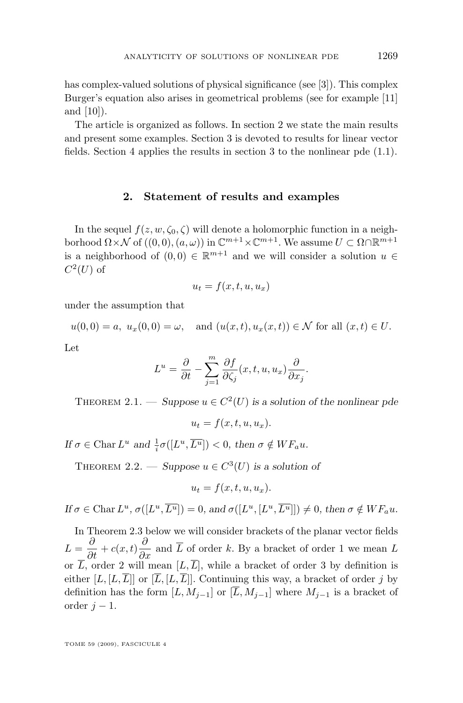<span id="page-3-0"></span>has complex-valued solutions of physical significance (see [\[3\]](#page-24-0)). This complex Burger's equation also arises in geometrical problems (see for example [\[11\]](#page-24-0) and [\[10\]](#page-24-0)).

The article is organized as follows. In section 2 we state the main results and present some examples. Section [3](#page-4-0) is devoted to results for linear vector fields. Section [4](#page-20-0) applies the results in section [3](#page-4-0) to the nonlinear pde [\(1.1\)](#page-1-0).

#### **2. Statement of results and examples**

In the sequel  $f(z, w, \zeta_0, \zeta)$  will denote a holomorphic function in a neighborhood  $\Omega \times \mathcal{N}$  of  $((0,0), (a,\omega))$  in  $\mathbb{C}^{m+1} \times \mathbb{C}^{m+1}$ . We assume  $U \subset \Omega \cap \mathbb{R}^{m+1}$ is a neighborhood of  $(0,0) \in \mathbb{R}^{m+1}$  and we will consider a solution  $u \in$  $C^2(U)$  of

$$
u_t = f(x, t, u, u_x)
$$

under the assumption that

$$
u(0,0) = a
$$
,  $u_x(0,0) = \omega$ , and  $(u(x,t), u_x(x,t)) \in \mathcal{N}$  for all  $(x,t) \in U$ .

Let

$$
L^{u} = \frac{\partial}{\partial t} - \sum_{j=1}^{m} \frac{\partial f}{\partial \zeta_{j}}(x, t, u, u_{x}) \frac{\partial}{\partial x_{j}}.
$$

THEOREM 2.1. — Suppose  $u \in C^2(U)$  is a solution of the nonlinear pde

 $u_t = f(x, t, u, u_x).$ 

*If*  $\sigma \in \text{Char } L^u$  and  $\frac{1}{i}\sigma([L^u, \overline{L^u}]) < 0$ , then  $\sigma \notin WF_a u$ .

THEOREM 2.2. — *Suppose*  $u \in C^3(U)$  *is a solution of* 

 $u_t = f(x, t, u, u_x).$ 

 $\text{If } \sigma \in \text{Char } L^u, \sigma([L^u, \overline{L^u}]) = 0, \text{ and } \sigma([L^u, [L^u, \overline{L^u}]]) \neq 0, \text{ then } \sigma \notin WF_{a}u.$ 

In Theorem 2.3 below we will consider brackets of the planar vector fields  $L = \frac{\partial}{\partial t} + c(x, t) \frac{\partial}{\partial x}$  and  $\overline{L}$  of order k. By a bracket of order 1 we mean L or  $\overline{L}$ , order 2 will mean  $[L,\overline{L}]$ , while a bracket of order 3 by definition is either  $[L, [L, \overline{L}]$  or  $[\overline{L}, [L, \overline{L}]]$ . Continuing this way, a bracket of order j by definition has the form  $[L, M_{i-1}]$  or  $[\overline{L}, M_{i-1}]$  where  $M_{i-1}$  is a bracket of order  $j-1$ .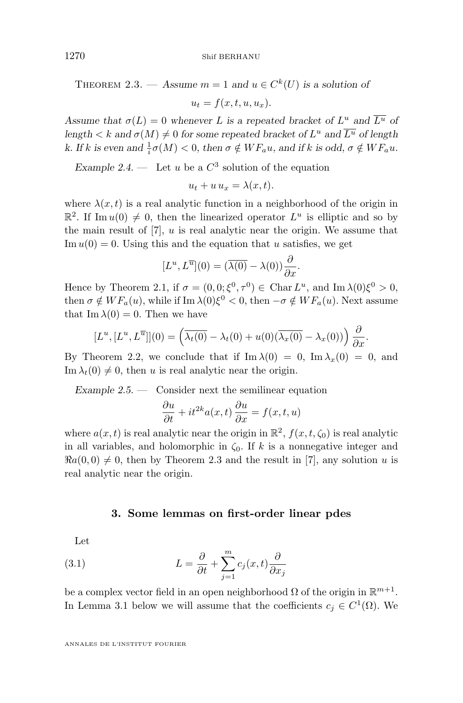<span id="page-4-0"></span>1270 Shif BERHANU

THEOREM 2.3. — Assume  $m = 1$  and  $u \in C^{k}(U)$  is a solution of

 $u_t = f(x, t, u, u_r).$ 

Assume that  $\sigma(L) = 0$  whenever L is a repeated bracket of  $L^u$  and  $\overline{L^u}$  of  $length < k$  and  $\sigma(M) \neq 0$  for some repeated bracket of  $L^u$  and  $\overline{L^u}$  of length *k.* If k is even and  $\frac{1}{i}\sigma(M) < 0$ , then  $\sigma \notin WF_a u$ , and if k is odd,  $\sigma \notin WF_a u$ .

*Example 2.4.* — Let u be a  $C^3$  solution of the equation

$$
u_t + u u_x = \lambda(x, t).
$$

where  $\lambda(x, t)$  is a real analytic function in a neighborhood of the origin in  $\mathbb{R}^2$ . If Im  $u(0) \neq 0$ , then the linearized operator  $L^u$  is elliptic and so by the main result of  $[7]$ , u is real analytic near the origin. We assume that Im  $u(0) = 0$ . Using this and the equation that u satisfies, we get

$$
[L^u, L^{\overline{u}}](0) = (\overline{\lambda(0)} - \lambda(0))\frac{\partial}{\partial x}.
$$

Hence by Theorem [2.1,](#page-3-0) if  $\sigma = (0,0;\xi^0,\tau^0) \in \text{Char } L^u$ , and  $\text{Im } \lambda(0)\xi^0 > 0$ , then  $\sigma \notin WF_a(u)$ , while if Im  $\lambda(0)\xi^0 < 0$ , then  $-\sigma \notin WF_a(u)$ . Next assume that Im  $\lambda(0) = 0$ . Then we have

$$
[L^u, [L^u, L^{\overline{u}}]](0) = \left(\overline{\lambda_t(0)} - \lambda_t(0) + u(0)(\overline{\lambda_x(0)} - \lambda_x(0))\right) \frac{\partial}{\partial x}.
$$

By Theorem [2.2,](#page-3-0) we conclude that if  $\text{Im }\lambda(0) = 0$ ,  $\text{Im }\lambda_x(0) = 0$ , and  $\text{Im }\lambda_t(0) \neq 0$ , then u is real analytic near the origin.

*Example 2.5. —* Consider next the semilinear equation

$$
\frac{\partial u}{\partial t} + it^{2k} a(x, t) \frac{\partial u}{\partial x} = f(x, t, u)
$$

where  $a(x, t)$  is real analytic near the origin in  $\mathbb{R}^2$ ,  $f(x, t, \zeta_0)$  is real analytic in all variables, and holomorphic in  $\zeta_0$ . If k is a nonnegative integer and  $\Re a(0,0) \neq 0$ , then by Theorem [2.3](#page-3-0) and the result in [\[7\]](#page-24-0), any solution u is real analytic near the origin.

#### **3. Some lemmas on first-order linear pdes**

Let

(3.1) 
$$
L = \frac{\partial}{\partial t} + \sum_{j=1}^{m} c_j(x, t) \frac{\partial}{\partial x_j}
$$

be a complex vector field in an open neighborhood  $\Omega$  of the origin in  $\mathbb{R}^{m+1}$ . In Lemma [3.1](#page-5-0) below we will assume that the coefficients  $c_j \in C^1(\Omega)$ . We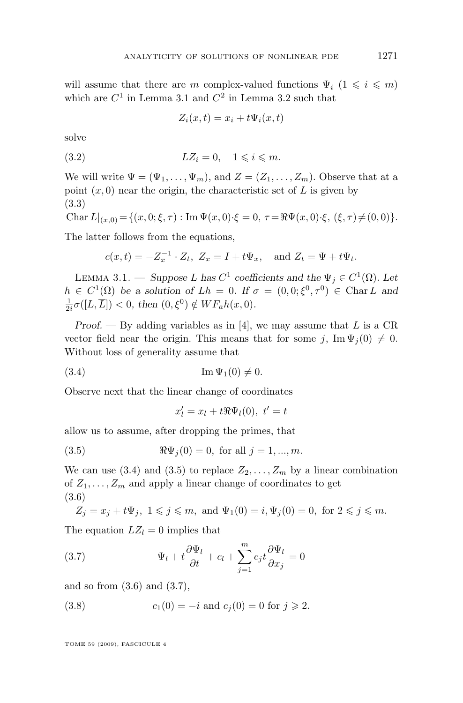<span id="page-5-0"></span>will assume that there are m complex-valued functions  $\Psi_i$  ( $1 \leq i \leq m$ ) which are  $C^1$  in Lemma 3.1 and  $C^2$  in Lemma [3.2](#page-9-0) such that

$$
Z_i(x,t) = x_i + t\Psi_i(x,t)
$$

solve

$$
(3.2) \t LZ_i = 0, \t 1 \leqslant i \leqslant m.
$$

We will write  $\Psi = (\Psi_1, \ldots, \Psi_m)$ , and  $Z = (Z_1, \ldots, Z_m)$ . Observe that at a point  $(x, 0)$  near the origin, the characteristic set of L is given by (3.3)

Char  $L|_{(x,0)} = \{(x,0;\xi,\tau) : \text{Im } \Psi(x,0)\cdot\xi = 0, \tau = \Re \Psi(x,0)\cdot\xi, (\xi,\tau) \neq (0,0)\}.$ 

The latter follows from the equations,

$$
c(x,t) = -Z_x^{-1} \cdot Z_t, \ Z_x = I + t\Psi_x, \quad \text{and } Z_t = \Psi + t\Psi_t.
$$

LEMMA 3.1. — *Suppose L* has  $C^1$  coefficients and the  $\Psi_j \in C^1(\Omega)$ . Let  $h \in C^1(\Omega)$  be a solution of  $Lh = 0$ . If  $\sigma = (0,0;\xi^0, \tau^0) \in \text{Char } L$  and  $\frac{1}{2i}\sigma([L,\overline{L}]) < 0$ , then  $(0,\xi^0) \notin WF_a h(x,0)$ .

*Proof.* — By adding variables as in [\[4\]](#page-24-0), we may assume that L is a CR vector field near the origin. This means that for some j,  $\text{Im } \Psi_i(0) \neq 0$ . Without loss of generality assume that

$$
(3.4) \tIm \Psi_1(0) \neq 0.
$$

Observe next that the linear change of coordinates

$$
x'_l = x_l + t \Re \Psi_l(0), \ t' = t
$$

allow us to assume, after dropping the primes, that

(3.5) 
$$
\Re \Psi_j(0) = 0
$$
, for all  $j = 1, ..., m$ .

We can use (3.4) and (3.5) to replace  $Z_2, \ldots, Z_m$  by a linear combination of  $Z_1, \ldots, Z_m$  and apply a linear change of coordinates to get (3.6)

$$
Z_j=x_j+t\Psi_j,\ 1\leqslant j\leqslant m,\text{ and } \Psi_1(0)=i, \Psi_j(0)=0,\text{ for } 2\leqslant j\leqslant m.
$$

The equation  $LZ_l = 0$  implies that

(3.7) 
$$
\Psi_l + t \frac{\partial \Psi_l}{\partial t} + c_l + \sum_{j=1}^m c_j t \frac{\partial \Psi_l}{\partial x_j} = 0
$$

and so from  $(3.6)$  and  $(3.7)$ ,

(3.8) 
$$
c_1(0) = -i
$$
 and  $c_j(0) = 0$  for  $j \ge 2$ .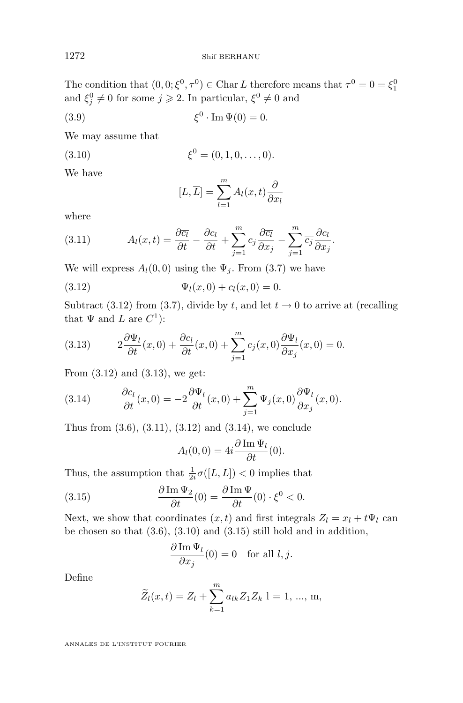<span id="page-6-0"></span>The condition that  $(0, 0; \xi^0, \tau^0) \in \text{Char } L$  therefore means that  $\tau^0 = 0 = \xi_1^0$ and  $\xi_j^0 \neq 0$  for some  $j \geqslant 2$ . In particular,  $\xi^0 \neq 0$  and

$$
(3.9) \qquad \qquad \xi^0 \cdot \operatorname{Im} \Psi(0) = 0.
$$

We may assume that

(3.10) 
$$
\xi^0 = (0, 1, 0, \dots, 0).
$$

We have

$$
[L, \overline{L}] = \sum_{l=1}^{m} A_l(x, t) \frac{\partial}{\partial x_l}
$$

where

(3.11) 
$$
A_l(x,t) = \frac{\partial \overline{c_l}}{\partial t} - \frac{\partial c_l}{\partial t} + \sum_{j=1}^m c_j \frac{\partial \overline{c_l}}{\partial x_j} - \sum_{j=1}^m \overline{c_j} \frac{\partial c_l}{\partial x_j}.
$$

We will express  $A_l(0,0)$  using the  $\Psi_j$ . From [\(3.7\)](#page-5-0) we have

(3.12) 
$$
\Psi_l(x,0) + c_l(x,0) = 0.
$$

Subtract (3.12) from [\(3.7\)](#page-5-0), divide by t, and let  $t \to 0$  to arrive at (recalling that  $\Psi$  and  $L$  are  $C^1$ ):

(3.13) 
$$
2\frac{\partial \Psi_l}{\partial t}(x,0) + \frac{\partial c_l}{\partial t}(x,0) + \sum_{j=1}^m c_j(x,0) \frac{\partial \Psi_l}{\partial x_j}(x,0) = 0.
$$

From (3.12) and (3.13), we get:

(3.14) 
$$
\frac{\partial c_l}{\partial t}(x,0) = -2\frac{\partial \Psi_l}{\partial t}(x,0) + \sum_{j=1}^m \Psi_j(x,0) \frac{\partial \Psi_l}{\partial x_j}(x,0).
$$

Thus from  $(3.6), (3.11), (3.12)$  $(3.6), (3.11), (3.12)$  and  $(3.14),$  we conclude

$$
A_l(0,0) = 4i \frac{\partial \operatorname{Im} \Psi_l}{\partial t}(0).
$$

Thus, the assumption that  $\frac{1}{2i}\sigma([L,\overline{L}]) < 0$  implies that

(3.15) 
$$
\frac{\partial \operatorname{Im} \Psi_2}{\partial t}(0) = \frac{\partial \operatorname{Im} \Psi}{\partial t}(0) \cdot \xi^0 < 0.
$$

Next, we show that coordinates  $(x, t)$  and first integrals  $Z_l = x_l + t \Psi_l$  can be chosen so that  $(3.6)$ ,  $(3.10)$  and  $(3.15)$  still hold and in addition,

$$
\frac{\partial \operatorname{Im} \Psi_l}{\partial x_j}(0) = 0 \quad \text{for all } l, j.
$$

Define

$$
\widetilde{Z}_l(x,t) = Z_l + \sum_{k=1}^m a_{lk} Z_1 Z_k \ 1 = 1, ..., m,
$$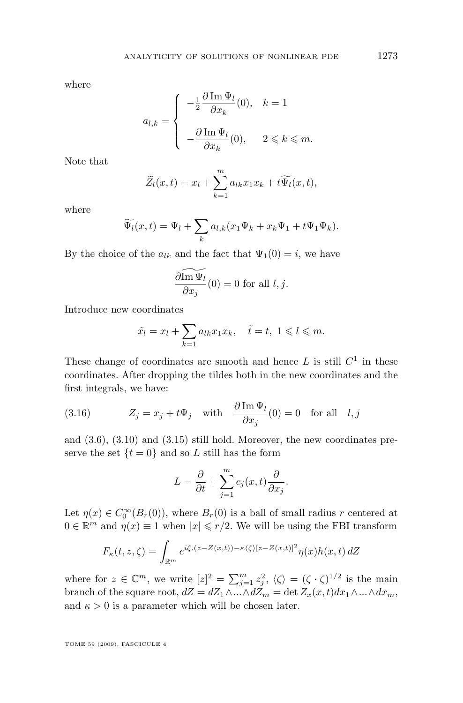<span id="page-7-0"></span>where

$$
a_{l,k} = \left\{ \begin{array}{cl} -\frac{1}{2} \dfrac{\partial \operatorname{Im} \Psi_l}{\partial x_k}(0), & k = 1 \\ \\ -\dfrac{\partial \operatorname{Im} \Psi_l}{\partial x_k}(0), & 2 \leqslant k \leqslant m. \end{array} \right.
$$

Note that

$$
\widetilde{Z}_l(x,t) = x_l + \sum_{k=1}^m a_{lk} x_1 x_k + t \widetilde{\Psi_l}(x,t),
$$

where

$$
\widetilde{\Psi_l}(x,t) = \Psi_l + \sum_k a_{l,k} (x_1 \Psi_k + x_k \Psi_1 + t \Psi_1 \Psi_k).
$$

By the choice of the  $a_{lk}$  and the fact that  $\Psi_1(0) = i$ , we have

$$
\frac{\partial \widetilde{\ln \Psi_l}}{\partial x_j}(0) = 0 \text{ for all } l, j.
$$

Introduce new coordinates

$$
\tilde{x}_l = x_l + \sum_{k=1} a_{lk} x_1 x_k, \quad \tilde{t} = t, \ 1 \leq l \leq m.
$$

These change of coordinates are smooth and hence  $L$  is still  $C<sup>1</sup>$  in these coordinates. After dropping the tildes both in the new coordinates and the first integrals, we have:

(3.16) 
$$
Z_j = x_j + t\Psi_j \quad \text{with} \quad \frac{\partial \operatorname{Im} \Psi_l}{\partial x_j}(0) = 0 \quad \text{for all} \quad l, j
$$

and [\(3.6\)](#page-5-0), [\(3.10\)](#page-6-0) and [\(3.15\)](#page-6-0) still hold. Moreover, the new coordinates preserve the set  $\{t = 0\}$  and so L still has the form

$$
L = \frac{\partial}{\partial t} + \sum_{j=1}^{m} c_j(x, t) \frac{\partial}{\partial x_j}.
$$

Let  $\eta(x) \in C_0^{\infty}(B_r(0))$ , where  $B_r(0)$  is a ball of small radius r centered at  $0 \in \mathbb{R}^m$  and  $\eta(x) \equiv 1$  when  $|x| \leq r/2$ . We will be using the FBI transform

$$
F_{\kappa}(t,z,\zeta) = \int_{\mathbb{R}^m} e^{i\zeta.(z-Z(x,t)) - \kappa \langle \zeta \rangle [z-Z(x,t)]^2} \eta(x)h(x,t) dZ
$$

where for  $z \in \mathbb{C}^m$ , we write  $[z]^2 = \sum_{j=1}^m z_j^2$ ,  $\langle \zeta \rangle = (\zeta \cdot \zeta)^{1/2}$  is the main branch of the square root,  $dZ = dZ_1 \wedge ... \wedge dZ_m = \det Z_x(x, t) dx_1 \wedge ... \wedge dx_m$ , and  $\kappa > 0$  is a parameter which will be chosen later.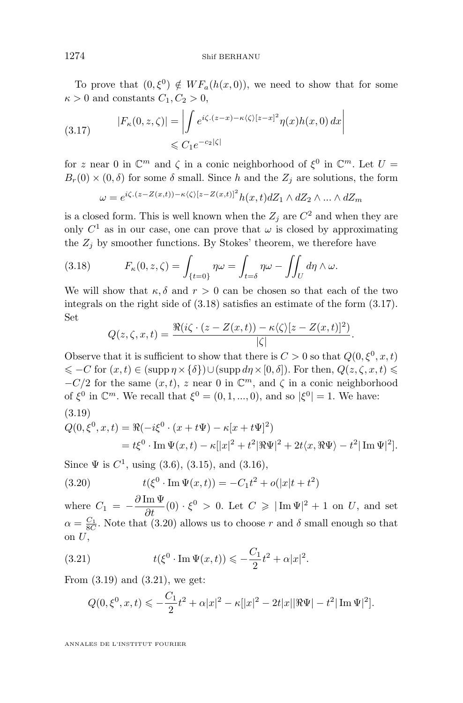To prove that  $(0,\xi^0) \notin WF_a(h(x,0))$ , we need to show that for some  $\kappa > 0$  and constants  $C_1, C_2 > 0$ ,

(3.17) 
$$
|F_{\kappa}(0, z, \zeta)| = \left| \int e^{i\zeta \cdot (z-x) - \kappa \langle \zeta \rangle [z-x]^2} \eta(x) h(x, 0) dx \right|
$$
  

$$
\leq C_1 e^{-c_2 |\zeta|}
$$

for z near 0 in  $\mathbb{C}^m$  and  $\zeta$  in a conic neighborhood of  $\xi^0$  in  $\mathbb{C}^m$ . Let  $U =$  $B_r(0) \times (0,\delta)$  for some  $\delta$  small. Since h and the  $Z_j$  are solutions, the form

$$
\omega = e^{i\zeta.(z - Z(x,t)) - \kappa \langle \zeta \rangle [z - Z(x,t)]^2} h(x,t) dZ_1 \wedge dZ_2 \wedge \dots \wedge dZ_m
$$

is a closed form. This is well known when the  $Z_j$  are  $C^2$  and when they are only  $C^1$  as in our case, one can prove that  $\omega$  is closed by approximating the  $Z_i$  by smoother functions. By Stokes' theorem, we therefore have

(3.18) 
$$
F_{\kappa}(0, z, \zeta) = \int_{\{t=0\}} \eta \omega = \int_{t=\delta} \eta \omega - \iint_{U} d\eta \wedge \omega.
$$

We will show that  $\kappa, \delta$  and  $r > 0$  can be chosen so that each of the two integrals on the right side of (3.18) satisfies an estimate of the form (3.17). Set

$$
Q(z,\zeta,x,t) = \frac{\Re(i\zeta \cdot (z - Z(x,t)) - \kappa \langle \zeta \rangle [z - Z(x,t)]^2)}{|\zeta|}
$$

.

Observe that it is sufficient to show that there is  $C > 0$  so that  $Q(0, \xi^0, x, t)$  $\leq C$  for  $(x, t) \in (\text{supp }\eta \times {\delta}) \cup (\text{supp } d\eta \times [0, \delta])$ . For then,  $Q(z, \zeta, x, t) \leq$  $-C/2$  for the same  $(x, t)$ , z near 0 in  $\mathbb{C}^m$ , and  $\zeta$  in a conic neighborhood of  $\xi^0$  in  $\mathbb{C}^m$ . We recall that  $\xi^0 = (0, 1, ..., 0)$ , and so  $|\xi^0| = 1$ . We have: (3.19)

$$
Q(0, \xi^0, x, t) = \Re(-i\xi^0 \cdot (x + t\Psi) - \kappa[x + t\Psi]^2)
$$
  
=  $t\xi^0 \cdot \text{Im } \Psi(x, t) - \kappa[x|^2 + t^2|\Re \Psi|^2 + 2t\langle x, \Re \Psi \rangle - t^2|\text{Im } \Psi|^2].$ 

Since  $\Psi$  is  $C^1$ , using [\(3.6\)](#page-5-0), [\(3.15\)](#page-6-0), and [\(3.16\)](#page-7-0),

(3.20) 
$$
t(\xi^0 \cdot \operatorname{Im} \Psi(x,t)) = -C_1 t^2 + o(|x|t + t^2)
$$

where  $C_1 = -\frac{\partial \operatorname{Im} \Psi}{\partial t}(0) \cdot \xi^0 > 0$ . Let  $C \geqslant |\operatorname{Im} \Psi|^2 + 1$  on U, and set  $\alpha = \frac{C_1}{8C}$ . Note that (3.20) allows us to choose r and  $\delta$  small enough so that on  $U$ ,

(3.21) 
$$
t(\xi^0 \cdot \operatorname{Im} \Psi(x,t)) \leqslant -\frac{C_1}{2}t^2 + \alpha |x|^2.
$$

From (3.19) and (3.21), we get:

$$
Q(0, \xi^0, x, t) \leqslant -\frac{C_1}{2}t^2 + \alpha |x|^2 - \kappa ||x|^2 - 2t |x| |\Re \Psi| - t^2 |\operatorname{Im} \Psi|^2].
$$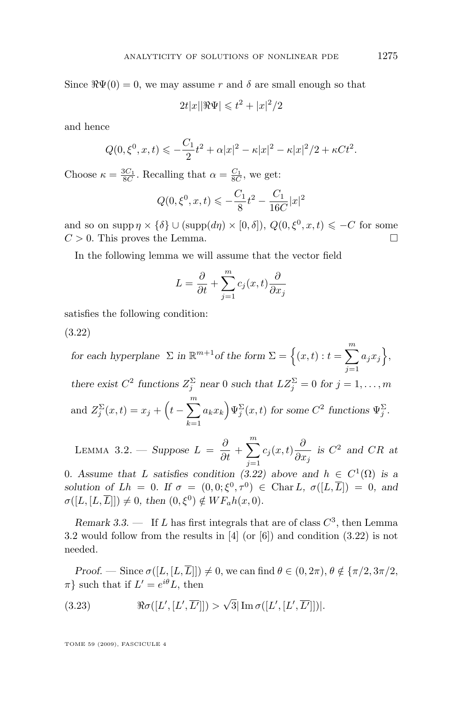<span id="page-9-0"></span>Since  $\Re\Psi(0) = 0$ , we may assume r and  $\delta$  are small enough so that

 $2t|x| |\Re \Psi| \leqslant t^2 + |x|^2/2$ 

and hence

$$
Q(0, \xi^{0}, x, t) \leqslant -\frac{C_1}{2}t^2 + \alpha |x|^2 - \kappa |x|^2 - \kappa |x|^2 / 2 + \kappa C t^2.
$$

Choose  $\kappa = \frac{3C_1}{8C}$ . Recalling that  $\alpha = \frac{C_1}{8C}$ , we get:

$$
Q(0, \xi^0, x, t) \leqslant -\frac{C_1}{8}t^2 - \frac{C_1}{16C}|x|^2
$$

and so on supp  $\eta \times {\delta} \cup (\text{supp}(d\eta) \times [0,\delta]), Q(0,\xi^0,x,t) \leq -C$  for some  $C > 0$ . This proves the Lemma.

In the following lemma we will assume that the vector field

$$
L = \frac{\partial}{\partial t} + \sum_{j=1}^{m} c_j(x, t) \frac{\partial}{\partial x_j}
$$

satisfies the following condition:

(3.22)

*for each hyperplane*  $\Sigma$  *in*  $\mathbb{R}^{m+1}$ *of the form*  $\Sigma = \{(x, t) : t = \sum_{n=0}^{m}$  $j=1$  $a_jx_j$ , *there exist*  $C^2$  *functions*  $Z_j^{\Sigma}$  *near* 0 *such that*  $LZ_j^{\Sigma} = 0$  *for*  $j = 1, ..., m$ and  $Z_j^{\Sigma}(x,t) = x_j + \left(t - \sum_{i=1}^{m} \right)$  $k=1$  $a_k x_k \, \mathcal{P}^{\Sigma}(x,t)$  for some  $C^2$  functions  $\Psi_j^{\Sigma}$ .

LEMMA 3.2. — *Suppose*  $L = \frac{\partial}{\partial t} +$  $\sum_{ }^m$  $j=1$  $c_j(x,t) \frac{\partial}{\partial x}$  $\frac{\partial}{\partial x_j}$  is  $C^2$  and  $CR$  at

0. Assume that L satisfies condition (3.22) above and  $h \in C^1(\Omega)$  is a solution of  $Lh = 0$ . If  $\sigma = (0,0;\xi^0, \tau^0) \in \text{Char } L$ ,  $\sigma([L,\overline{L}]) = 0$ , and  $\sigma([L, [L, \overline{L}]]) \neq 0$ , then  $(0, \xi^0) \notin WF_a h(x, 0)$ .

*Remark 3.3.*  $\qquad$  If *L* has first integrals that are of class  $C^3$ , then Lemma 3.2 would follow from the results in [\[4\]](#page-24-0) (or [\[6\]](#page-24-0)) and condition (3.22) is not needed.

*Proof.* — Since  $\sigma([L, [L, \overline{L}]]) \neq 0$ , we can find  $\theta \in (0, 2\pi)$ ,  $\theta \notin {\pi/2, 3\pi/2}$ ,  $\pi$ } such that if  $L' = e^{i\theta}L$ , then

(3.23) 
$$
\Re \sigma([L', [L', \overline{L'}]]) > \sqrt{3} |\operatorname{Im} \sigma([L', [L', \overline{L'}]])|.
$$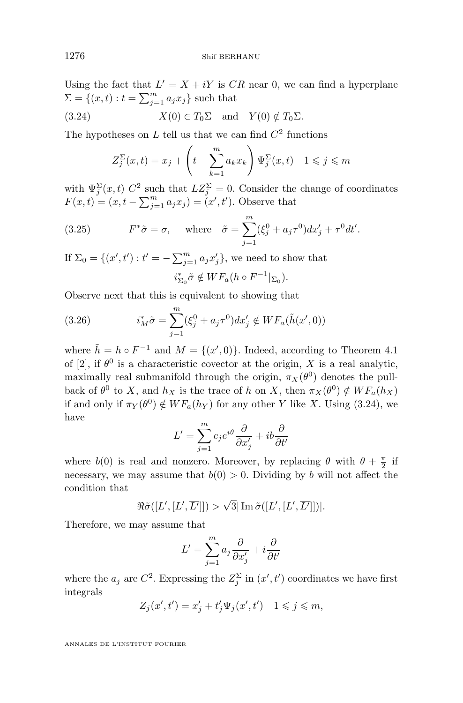Using the fact that  $L' = X + iY$  is  $CR$  near 0, we can find a hyperplane  $\Sigma = \{(x, t) : t = \sum_{j=1}^{m} a_j x_j\}$  such that

(3.24) 
$$
X(0) \in T_0 \Sigma
$$
 and  $Y(0) \notin T_0 \Sigma$ .

The hypotheses on  $L$  tell us that we can find  $C^2$  functions

$$
Z_j^{\Sigma}(x,t) = x_j + \left(t - \sum_{k=1}^m a_k x_k\right) \Psi_j^{\Sigma}(x,t) \quad 1 \leqslant j \leqslant m
$$

with  $\Psi_j^{\Sigma}(x,t)$   $C^2$  such that  $LZ_j^{\Sigma} = 0$ . Consider the change of coordinates  $F(x,t) = (x, t - \sum_{j=1}^{m} a_j x_j) = (x', t')$ . Observe that

(3.25) 
$$
F^*\tilde{\sigma} = \sigma, \quad \text{where} \quad \tilde{\sigma} = \sum_{j=1}^m (\xi_j^0 + a_j \tau^0) dx'_j + \tau^0 dt'.
$$

If  $\Sigma_0 = \{(x', t') : t' = -\sum_{j=1}^m a_j x'_j\}$ , we need to show that  $i_{\Sigma_0}^* \tilde{\sigma} \notin WF_a(h \circ F^{-1}|_{\Sigma_0}).$ 

Observe next that this is equivalent to showing that

(3.26) 
$$
i_M^* \tilde{\sigma} = \sum_{j=1}^m (\xi_j^0 + a_j \tau^0) dx'_j \notin WF_a(\tilde{h}(x', 0))
$$

where  $\tilde{h} = h \circ F^{-1}$  and  $M = \{(x', 0)\}\$ . Indeed, according to Theorem 4.1 of [\[2\]](#page-24-0), if  $\theta^0$  is a characteristic covector at the origin, X is a real analytic, maximally real submanifold through the origin,  $\pi_X(\theta^0)$  denotes the pullback of  $\theta^0$  to X, and  $h_X$  is the trace of h on X, then  $\pi_X(\theta^0) \notin WF_a(h_X)$ if and only if  $\pi_Y(\theta^0) \notin WF_a(h_Y)$  for any other Y like X. Using (3.24), we have

$$
L' = \sum_{j=1}^{m} c_j e^{i\theta} \frac{\partial}{\partial x'_j} + ib \frac{\partial}{\partial t'}
$$

where  $b(0)$  is real and nonzero. Moreover, by replacing  $\theta$  with  $\theta + \frac{\pi}{2}$  if necessary, we may assume that  $b(0) > 0$ . Dividing by b will not affect the condition that

$$
\Re \tilde{\sigma}([L', [L', \overline{L']}]) > \sqrt{3} |\operatorname{Im} \tilde{\sigma}([L', [L', \overline{L']}])|.
$$

Therefore, we may assume that

$$
L' = \sum_{j=1}^{m} a_j \frac{\partial}{\partial x'_j} + i \frac{\partial}{\partial t'}
$$

where the  $a_j$  are  $C^2$ . Expressing the  $Z_j^{\Sigma}$  in  $(x', t')$  coordinates we have first integrals

$$
Z_j(x',t') = x'_j + t'_j \Psi_j(x',t') \quad 1 \leqslant j \leqslant m,
$$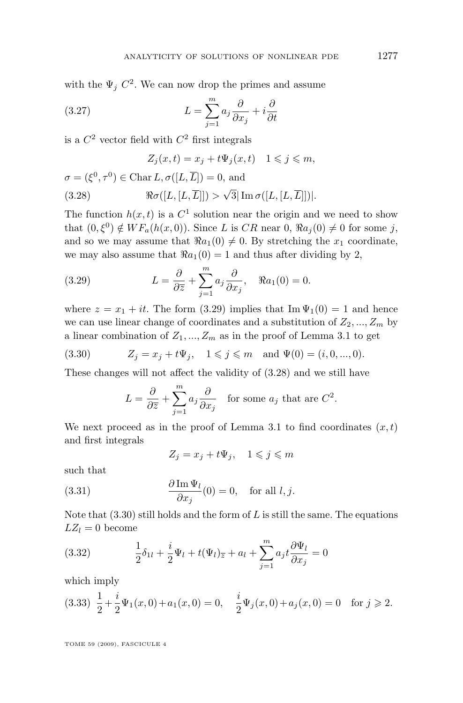<span id="page-11-0"></span>with the  $\Psi_j C^2$ . We can now drop the primes and assume

(3.27) 
$$
L = \sum_{j=1}^{m} a_j \frac{\partial}{\partial x_j} + i \frac{\partial}{\partial t}
$$

is a  $C^2$  vector field with  $C^2$  first integrals

$$
Z_j(x,t) = x_j + t\Psi_j(x,t) \quad 1 \leqslant j \leqslant m,
$$

$$
\sigma = (\xi^0, \tau^0) \in \text{Char } L, \sigma([L, \overline{L}]) = 0, \text{ and}
$$
  
(3.28) 
$$
\Re \sigma([L, [L, \overline{L}]]) > \sqrt{3} |\operatorname{Im} \sigma([L, [L, \overline{L}]])|.
$$

The function  $h(x,t)$  is a  $C<sup>1</sup>$  solution near the origin and we need to show that  $(0,\xi^0) \notin WF_a(h(x,0))$ . Since L is CR near  $0, \Re a_j(0) \neq 0$  for some j, and so we may assume that  $\Re a_1(0) \neq 0$ . By stretching the  $x_1$  coordinate, we may also assume that  $\Re a_1(0) = 1$  and thus after dividing by 2,

(3.29) 
$$
L = \frac{\partial}{\partial \overline{z}} + \sum_{j=1}^{m} a_j \frac{\partial}{\partial x_j}, \quad \Re a_1(0) = 0.
$$

where  $z = x_1 + it$ . The form (3.29) implies that Im  $\Psi_1(0) = 1$  and hence we can use linear change of coordinates and a substitution of  $Z_2, ..., Z_m$  by a linear combination of  $Z_1, ..., Z_m$  as in the proof of Lemma [3.1](#page-5-0) to get

(3.30) 
$$
Z_j = x_j + t\Psi_j, \quad 1 \leq j \leq m \text{ and } \Psi(0) = (i, 0, ..., 0).
$$

These changes will not affect the validity of (3.28) and we still have

$$
L = \frac{\partial}{\partial \overline{z}} + \sum_{j=1}^{m} a_j \frac{\partial}{\partial x_j}
$$
 for some  $a_j$  that are  $C^2$ .

We next proceed as in the proof of Lemma [3.1](#page-5-0) to find coordinates  $(x, t)$ and first integrals

$$
Z_j = x_j + t\Psi_j, \quad 1 \leqslant j \leqslant m
$$

such that

(3.31) 
$$
\frac{\partial \operatorname{Im} \Psi_l}{\partial x_j}(0) = 0, \text{ for all } l, j.
$$

Note that  $(3.30)$  still holds and the form of L is still the same. The equations  $LZ_l = 0$  become

(3.32) 
$$
\frac{1}{2}\delta_{1l} + \frac{i}{2}\Psi_l + t(\Psi_l)_{\overline{z}} + a_l + \sum_{j=1}^m a_j t \frac{\partial \Psi_l}{\partial x_j} = 0
$$

which imply

$$
(3.33) \ \ \frac{1}{2} + \frac{i}{2}\Psi_1(x,0) + a_1(x,0) = 0, \quad \frac{i}{2}\Psi_j(x,0) + a_j(x,0) = 0 \quad \text{for } j \geq 2.
$$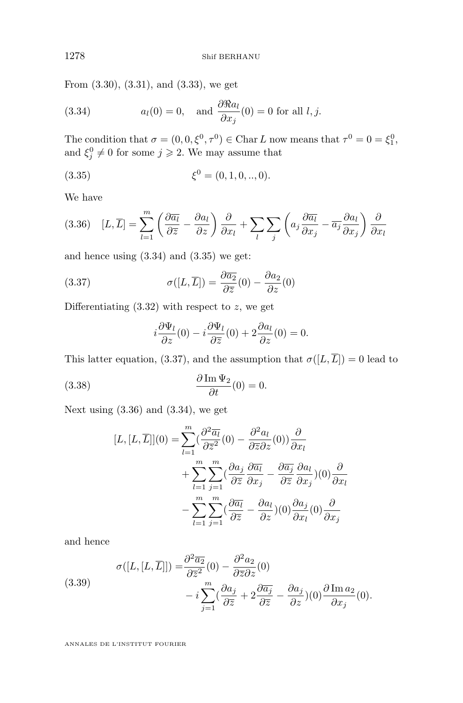<span id="page-12-0"></span>From [\(3.30\)](#page-11-0), [\(3.31\)](#page-11-0), and [\(3.33\)](#page-11-0), we get

(3.34) 
$$
a_l(0) = 0, \text{ and } \frac{\partial \Re a_l}{\partial x_j}(0) = 0 \text{ for all } l, j.
$$

The condition that  $\sigma = (0, 0, \xi^0, \tau^0) \in \text{Char } L$  now means that  $\tau^0 = 0 = \xi_1^0$ , and  $\xi_j^0 \neq 0$  for some  $j \geqslant 2$ . We may assume that

(3.35) 
$$
\xi^0 = (0, 1, 0, ..., 0).
$$

We have

$$
(3.36)\quad [L,\overline{L}] = \sum_{l=1}^{m} \left( \frac{\partial \overline{a_l}}{\partial \overline{z}} - \frac{\partial a_l}{\partial z} \right) \frac{\partial}{\partial x_l} + \sum_{l} \sum_{j} \left( a_j \frac{\partial \overline{a_l}}{\partial x_j} - \overline{a_j} \frac{\partial a_l}{\partial x_j} \right) \frac{\partial}{\partial x_l}
$$

and hence using  $(3.34)$  and  $(3.35)$  we get:

(3.37) 
$$
\sigma([L, \overline{L}]) = \frac{\partial \overline{a_2}}{\partial \overline{z}}(0) - \frac{\partial a_2}{\partial z}(0)
$$

Differentiating  $(3.32)$  with respect to z, we get

$$
i\frac{\partial \Psi_l}{\partial z}(0) - i\frac{\partial \Psi_l}{\partial \overline{z}}(0) + 2\frac{\partial a_l}{\partial z}(0) = 0.
$$

This latter equation, (3.37), and the assumption that  $\sigma([L,\overline{L}]) = 0$  lead to

(3.38) 
$$
\frac{\partial \operatorname{Im} \Psi_2}{\partial t}(0) = 0.
$$

Next using  $(3.36)$  and  $(3.34)$ , we get

$$
[L,[L,\overline{L}]](0) = \sum_{l=1}^{m} \left(\frac{\partial^2 \overline{a_l}}{\partial \overline{z}^2}(0) - \frac{\partial^2 a_l}{\partial \overline{z} \partial z}(0)\right) \frac{\partial}{\partial x_l}
$$
  
+ 
$$
\sum_{l=1}^{m} \sum_{j=1}^{m} \left(\frac{\partial a_j}{\partial \overline{z}} \frac{\partial \overline{a_l}}{\partial x_j} - \frac{\partial \overline{a_j}}{\partial \overline{z}} \frac{\partial a_l}{\partial x_j}\right)(0) \frac{\partial}{\partial x_l}
$$
  
- 
$$
\sum_{l=1}^{m} \sum_{j=1}^{m} \left(\frac{\partial \overline{a_l}}{\partial \overline{z}} - \frac{\partial a_l}{\partial z}\right)(0) \frac{\partial a_j}{\partial x_l}(0) \frac{\partial}{\partial x_j}
$$

and hence

(3.39)  

$$
\sigma([L, [L, \overline{L}]]) = \frac{\partial^2 \overline{a_2}}{\partial \overline{z}^2}(0) - \frac{\partial^2 a_2}{\partial \overline{z} \partial z}(0)
$$

$$
- i \sum_{j=1}^m (\frac{\partial a_j}{\partial \overline{z}} + 2 \frac{\partial \overline{a_j}}{\partial \overline{z}} - \frac{\partial a_j}{\partial z})(0) \frac{\partial \operatorname{Im} a_2}{\partial x_j}(0).
$$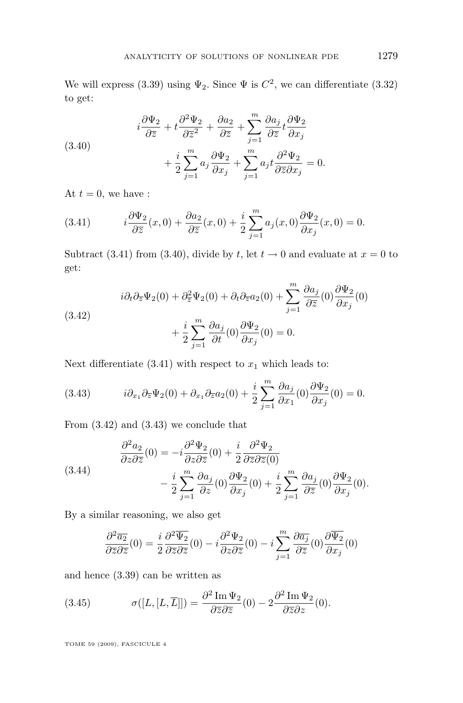<span id="page-13-0"></span>We will express [\(3.39\)](#page-12-0) using  $\Psi_2$ . Since  $\Psi$  is  $C^2$ , we can differentiate (3.32) to get:

(3.40)  

$$
i\frac{\partial\Psi_2}{\partial \overline{z}} + t\frac{\partial^2\Psi_2}{\partial \overline{z}} + \frac{\partial a_2}{\partial \overline{z}} + \sum_{j=1}^m \frac{\partial a_j}{\partial \overline{z}} t \frac{\partial \Psi_2}{\partial x_j} + \frac{i}{2} \sum_{j=1}^m a_j \frac{\partial \Psi_2}{\partial x_j} + \sum_{j=1}^m a_j t \frac{\partial^2 \Psi_2}{\partial \overline{z} \partial x_j} = 0.
$$

At  $t = 0$ , we have :

(3.41) 
$$
i\frac{\partial \Psi_2}{\partial \overline{z}}(x,0) + \frac{\partial a_2}{\partial \overline{z}}(x,0) + \frac{i}{2}\sum_{j=1}^m a_j(x,0)\frac{\partial \Psi_2}{\partial x_j}(x,0) = 0.
$$

Subtract (3.41) from (3.40), divide by t, let  $t \to 0$  and evaluate at  $x = 0$  to get:

(3.42)  

$$
i\partial_t \partial_{\overline{z}} \Psi_2(0) + \partial_{\overline{z}}^2 \Psi_2(0) + \partial_t \partial_{\overline{z}} a_2(0) + \sum_{j=1}^m \frac{\partial a_j}{\partial \overline{z}}(0) \frac{\partial \Psi_2}{\partial x_j}(0) + \frac{i}{2} \sum_{j=1}^m \frac{\partial a_j}{\partial t}(0) \frac{\partial \Psi_2}{\partial x_j}(0) = 0.
$$

Next differentiate (3.41) with respect to  $x_1$  which leads to:

(3.43) 
$$
i\partial_{x_1}\partial_{\overline{z}}\Psi_2(0) + \partial_{x_1}\partial_{\overline{z}}a_2(0) + \frac{i}{2}\sum_{j=1}^m \frac{\partial a_j}{\partial x_1}(0)\frac{\partial \Psi_2}{\partial x_j}(0) = 0.
$$

From (3.42) and (3.43) we conclude that

(3.44) 
$$
\begin{aligned}\n\frac{\partial^2 a_2}{\partial z \partial \overline{z}}(0) &= -i \frac{\partial^2 \Psi_2}{\partial z \partial \overline{z}}(0) + \frac{i}{2} \frac{\partial^2 \Psi_2}{\partial \overline{z} \partial \overline{z}(0)} \\
&- \frac{i}{2} \sum_{j=1}^m \frac{\partial a_j}{\partial z}(0) \frac{\partial \Psi_2}{\partial x_j}(0) + \frac{i}{2} \sum_{j=1}^m \frac{\partial a_j}{\partial \overline{z}}(0) \frac{\partial \Psi_2}{\partial x_j}(0).\n\end{aligned}
$$

By a similar reasoning, we also get

$$
\frac{\partial^2 \overline{a_2}}{\partial \overline{z} \partial \overline{z}}(0) = \frac{i}{2} \frac{\partial^2 \overline{\Psi_2}}{\partial \overline{z} \partial \overline{z}}(0) - i \frac{\partial^2 \Psi_2}{\partial z \partial \overline{z}}(0) - i \sum_{j=1}^m \frac{\partial \overline{a_j}}{\partial \overline{z}}(0) \frac{\partial \overline{\Psi_2}}{\partial x_j}(0)
$$

and hence [\(3.39\)](#page-12-0) can be written as

(3.45) 
$$
\sigma([L,[L,\overline{L}]]) = \frac{\partial^2 \operatorname{Im} \Psi_2}{\partial \overline{z} \partial \overline{z}}(0) - 2 \frac{\partial^2 \operatorname{Im} \Psi_2}{\partial \overline{z} \partial z}(0).
$$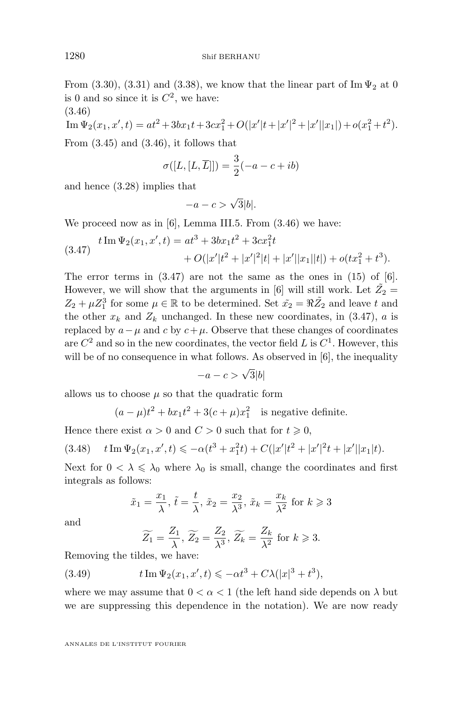<span id="page-14-0"></span>From [\(3.30\)](#page-11-0), [\(3.31\)](#page-11-0) and [\(3.38\)](#page-12-0), we know that the linear part of Im  $\Psi_2$  at 0 is 0 and so since it is  $C^2$ , we have: (3.46)

Im 
$$
\Psi_2(x_1, x', t) = at^2 + 3bx_1t + 3cx_1^2 + O(|x'|t + |x'|^2 + |x'||x_1|) + o(x_1^2 + t^2).
$$

From  $(3.45)$  and  $(3.46)$ , it follows that

$$
\sigma([L,[L,\overline{L}]]) = \frac{3}{2}(-a-c+ib)
$$

and hence [\(3.28\)](#page-11-0) implies that

$$
-a-c > \sqrt{3}|b|.
$$

We proceed now as in [\[6\]](#page-24-0), Lemma III.5. From  $(3.46)$  we have:

(3.47) 
$$
t \operatorname{Im} \Psi_2(x_1, x', t) = at^3 + 3bx_1t^2 + 3cx_1^2t + O(|x'|t^2 + |x'|^2|t| + |x'||x_1||t|) + o(tx_1^2 + t^3).
$$

The error terms in  $(3.47)$  are not the same as the ones in  $(15)$  of  $[6]$ . However, we will show that the arguments in [\[6\]](#page-24-0) will still work. Let  $\tilde{Z_2}$  =  $Z_2 + \mu Z_1^3$  for some  $\mu \in \mathbb{R}$  to be determined. Set  $\tilde{x_2} = \Re \tilde{Z_2}$  and leave t and the other  $x_k$  and  $Z_k$  unchanged. In these new coordinates, in (3.47), a is replaced by  $a-\mu$  and c by  $c+\mu$ . Observe that these changes of coordinates are  $C^2$  and so in the new coordinates, the vector field L is  $C^1$ . However, this will be of no consequence in what follows. As observed in [\[6\]](#page-24-0), the inequality

$$
-a-c>\sqrt{3}|b|
$$

allows us to choose  $\mu$  so that the quadratic form

$$
(a - \mu)t^2 + bx_1t^2 + 3(c + \mu)x_1^2
$$
 is negative definite.

Hence there exist  $\alpha > 0$  and  $C > 0$  such that for  $t \geq 0$ ,

$$
(3.48) \t t Im \Psi_2(x_1, x', t) \leqslant -\alpha(t^3 + x_1^2 t) + C(|x'|t^2 + |x'|^2 t + |x'||x_1|t).
$$

Next for  $0 < \lambda \leq \lambda_0$  where  $\lambda_0$  is small, change the coordinates and first integrals as follows:

$$
\tilde{x}_1 = \frac{x_1}{\lambda}, \tilde{t} = \frac{t}{\lambda}, \tilde{x}_2 = \frac{x_2}{\lambda^3}, \tilde{x}_k = \frac{x_k}{\lambda^2}
$$
 for  $k \ge 3$ 

and

$$
\widetilde{Z_1} = \frac{Z_1}{\lambda}, \widetilde{Z_2} = \frac{Z_2}{\lambda^3}, \widetilde{Z_k} = \frac{Z_k}{\lambda^2} \text{ for } k \geqslant 3.
$$

Removing the tildes, we have:

(3.49) 
$$
t \operatorname{Im} \Psi_2(x_1, x', t) \le -\alpha t^3 + C\lambda (|x|^3 + t^3),
$$

where we may assume that  $0 < \alpha < 1$  (the left hand side depends on  $\lambda$  but we are suppressing this dependence in the notation). We are now ready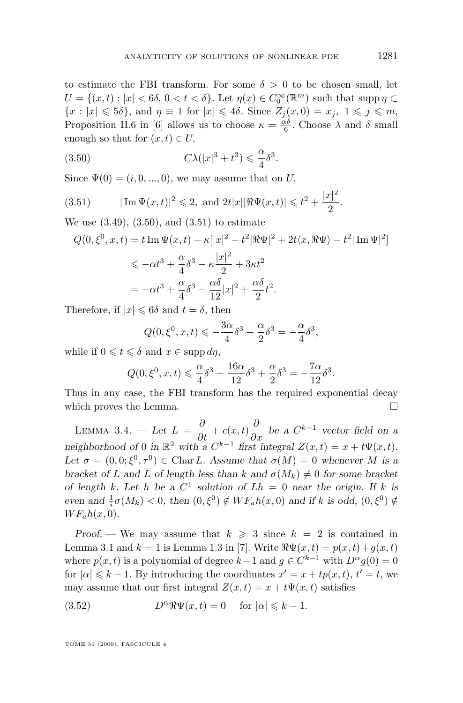<span id="page-15-0"></span>to estimate the FBI transform. For some  $\delta > 0$  to be chosen small, let  $U = \{(x, t) : |x| < 6\delta, 0 < t < \delta\}$ . Let  $\eta(x) \in C_0^{\infty}(\mathbb{R}^m)$  such that supp  $\eta \subset$  ${x : |x| \leqslant 5\delta}$ , and  $\eta \equiv 1$  for  $|x| \leqslant 4\delta$ . Since  $Z_i(x, 0) = x_i, 1 \leqslant j \leqslant m$ , Proposition II.6 in [\[6\]](#page-24-0) allows us to choose  $\kappa = \frac{\alpha \delta}{6}$ . Choose  $\lambda$  and  $\delta$  small enough so that for  $(x, t) \in U$ ,

(3.50) 
$$
C\lambda(|x|^3 + t^3) \leq \frac{\alpha}{4}\delta^3.
$$

Since  $\Psi(0) = (i, 0, \ldots, 0)$ , we may assume that on U,

(3.51) 
$$
|\operatorname{Im} \Psi(x,t)|^2 \leq 2, \text{ and } 2t|x|| \Re \Psi(x,t)| \leq t^2 + \frac{|x|^2}{2}.
$$

We use  $(3.49)$ ,  $(3.50)$ , and  $(3.51)$  to estimate

$$
Q(0, \xi^0, x, t) = t \operatorname{Im} \Psi(x, t) - \kappa [|x|^2 + t^2 | \Re \Psi|^2 + 2t \langle x, \Re \Psi \rangle - t^2 | \operatorname{Im} \Psi |^2]
$$
  
\$\leq -\alpha t^3 + \frac{\alpha}{4} \delta^3 - \kappa \frac{|x|^2}{2} + 3\kappa t^2\$  

$$
= -\alpha t^3 + \frac{\alpha}{4} \delta^3 - \frac{\alpha \delta}{12} |x|^2 + \frac{\alpha \delta}{2} t^2.
$$

Therefore, if  $|x| \leq 6\delta$  and  $t = \delta$ , then

$$
Q(0, \xi^0, x, t) \leqslant -\frac{3\alpha}{4}\delta^3 + \frac{\alpha}{2}\delta^3 = -\frac{\alpha}{4}\delta^3,
$$

while if  $0 \leqslant t \leqslant \delta$  and  $x \in \mathrm{supp} \, d\eta$ ,

$$
Q(0, \xi^0, x, t) \leq \frac{\alpha}{4} \delta^3 - \frac{16\alpha}{12} \delta^3 + \frac{\alpha}{2} \delta^3 = -\frac{7\alpha}{12} \delta^3.
$$

Thus in any case, the FBI transform has the required exponential decay which proves the Lemma.  $\Box$ 

LEMMA 3.4. — Let  $L = \frac{\partial}{\partial t} + c(x, t) \frac{\partial}{\partial x}$  be a  $C^{k-1}$  vector field on a *neighborhood of* 0 *in*  $\mathbb{R}^2$  *with a*  $C^{k-1}$  *first integral*  $Z(x,t) = x + t\Psi(x,t)$ *.* Let  $\sigma = (0,0;\xi^0,\tau^0) \in \text{Char } L$ . Assume that  $\sigma(M) = 0$  whenever M is a *bracket of* L and  $\overline{L}$  *of length less than* k and  $\sigma(M_k) \neq 0$  for some bracket *of length* k. Let h be a  $C^1$  solution of  $Lh = 0$  near the origin. If k is *even and*  $\frac{1}{i}\sigma(M_k) < 0$ , then  $(0, \xi^0) \notin WF_a h(x, 0)$  *and if* k *is odd*,  $(0, \xi^0) \notin$  $WF<sub>a</sub>h(x,0)$ .

*Proof.* — We may assume that  $k \geq 3$  since  $k = 2$  is contained in Lemma [3.1](#page-5-0) and  $k = 1$  is Lemma 1.3 in [\[7\]](#page-24-0). Write  $\Re \Psi(x, t) = p(x, t) + q(x, t)$ where  $p(x, t)$  is a polynomial of degree  $k-1$  and  $g \in C^{k-1}$  with  $D^{\alpha}g(0) = 0$ for  $|\alpha| \leq k - 1$ . By introducing the coordinates  $x' = x + tp(x, t)$ ,  $t' = t$ , we may assume that our first integral  $Z(x, t) = x + t\Psi(x, t)$  satisfies

(3.52) 
$$
D^{\alpha} \Re \Psi(x, t) = 0 \quad \text{for } |\alpha| \leq k - 1.
$$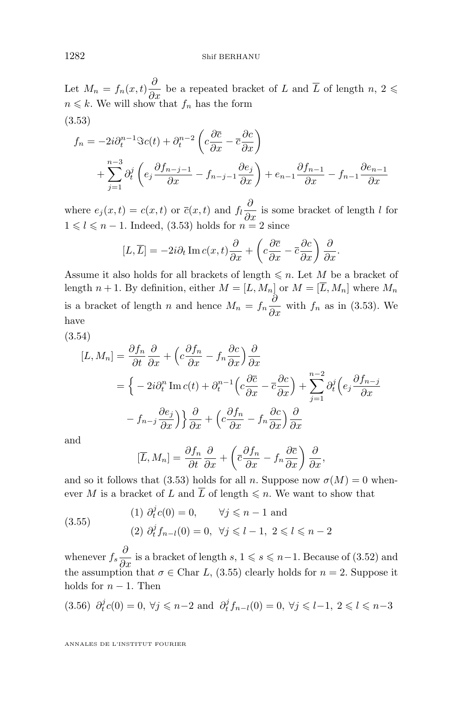<span id="page-16-0"></span>Let  $M_n = f_n(x,t) \frac{\partial}{\partial x}$  be a repeated bracket of L and  $\overline{L}$  of length  $n, 2 \leq$  $n \leq k$ . We will show that  $f_n$  has the form (3.53)

$$
f_n = -2i\partial_t^{n-1} \Im c(t) + \partial_t^{n-2} \left( c \frac{\partial \overline{c}}{\partial x} - \overline{c} \frac{\partial c}{\partial x} \right)
$$
  
+ 
$$
\sum_{j=1}^{n-3} \partial_t^j \left( e_j \frac{\partial f_{n-j-1}}{\partial x} - f_{n-j-1} \frac{\partial e_j}{\partial x} \right) + e_{n-1} \frac{\partial f_{n-1}}{\partial x} - f_{n-1} \frac{\partial e_{n-1}}{\partial x}
$$

where  $e_j(x,t) = c(x,t)$  or  $\overline{c}(x,t)$  and  $f_l \frac{\partial}{\partial x}$  is some bracket of length l for  $1 \leq l \leq n-1$ . Indeed, (3.53) holds for  $n = 2$  since

$$
[L, \overline{L}] = -2i\partial_t \operatorname{Im} c(x, t) \frac{\partial}{\partial x} + \left( c \frac{\partial \overline{c}}{\partial x} - \overline{c} \frac{\partial c}{\partial x} \right) \frac{\partial}{\partial x}.
$$

Assume it also holds for all brackets of length  $\leq n$ . Let M be a bracket of length  $n + 1$ . By definition, either  $M = [L, M_n]$  or  $M = [\overline{L}, M_n]$  where  $M_n$ is a bracket of length n and hence  $M_n = f_n \frac{\partial}{\partial x}$  with  $f_n$  as in (3.53). We have

(3.54)

$$
[L, M_n] = \frac{\partial f_n}{\partial t} \frac{\partial}{\partial x} + \left( c \frac{\partial f_n}{\partial x} - f_n \frac{\partial c}{\partial x} \right) \frac{\partial}{\partial x}
$$
  

$$
= \left\{ -2i\partial_t^n \operatorname{Im} c(t) + \partial_t^{n-1} \left( c \frac{\partial c}{\partial x} - \overline{c} \frac{\partial c}{\partial x} \right) + \sum_{j=1}^{n-2} \partial_t^j \left( e_j \frac{\partial f_{n-j}}{\partial x} \right) \right\}
$$
  

$$
-f_{n-j} \frac{\partial e_j}{\partial x} \right\} \frac{\partial}{\partial x} + \left( c \frac{\partial f_n}{\partial x} - f_n \frac{\partial c}{\partial x} \right) \frac{\partial}{\partial x}
$$

and

$$
[\overline{L}, M_n] = \frac{\partial f_n}{\partial t} \frac{\partial}{\partial x} + \left(\overline{c} \frac{\partial f_n}{\partial x} - f_n \frac{\partial \overline{c}}{\partial x}\right) \frac{\partial}{\partial x},
$$

and so it follows that (3.53) holds for all n. Suppose now  $\sigma(M) = 0$  whenever M is a bracket of L and  $\overline{L}$  of length  $\leq n$ . We want to show that

(3.55)   
\n(1) 
$$
\partial_t^j c(0) = 0
$$
,  $\forall j \le n - 1$  and  
\n(2)  $\partial_t^j f_{n-l}(0) = 0$ ,  $\forall j \le l - 1, 2 \le l \le n - 2$ 

whenever  $f_s \frac{\partial}{\partial x}$  is a bracket of length  $s, 1 \leq s \leq n-1$ . Because of (3.52) and the assumption that  $\sigma \in \text{Char } L$ , (3.55) clearly holds for  $n = 2$ . Suppose it holds for  $n - 1$ . Then

$$
(3.56) \ \partial_t^j c(0) = 0, \ \forall j \leq n-2 \ \text{and} \ \partial_t^j f_{n-l}(0) = 0, \ \forall j \leq l-1, \ 2 \leq l \leq n-3
$$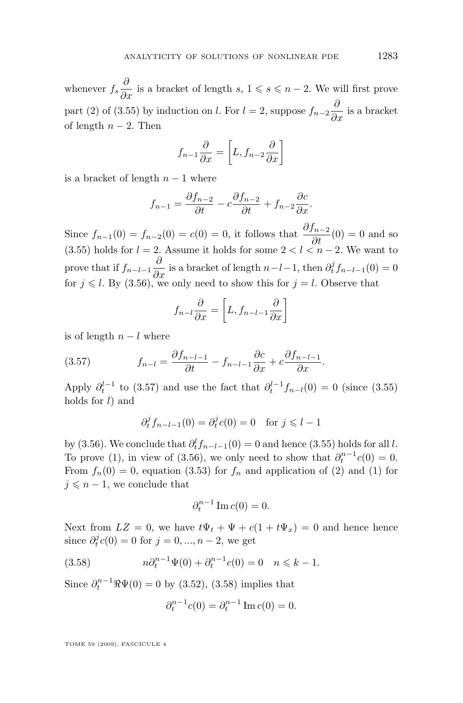<span id="page-17-0"></span>whenever  $f_s \frac{\partial}{\partial x}$  is a bracket of length  $s, 1 \leqslant s \leqslant n-2$ . We will first prove part (2) of [\(3.55\)](#page-16-0) by induction on *l*. For  $l = 2$ , suppose  $f_{n-2} \frac{\partial}{\partial x}$  is a bracket of length  $n-2$ . Then

$$
f_{n-1}\frac{\partial}{\partial x} = \left[L, f_{n-2}\frac{\partial}{\partial x}\right]
$$

is a bracket of length  $n-1$  where

$$
f_{n-1} = \frac{\partial f_{n-2}}{\partial t} - c \frac{\partial f_{n-2}}{\partial t} + f_{n-2} \frac{\partial c}{\partial x}.
$$

Since  $f_{n-1}(0) = f_{n-2}(0) = c(0) = 0$ , it follows that  $\frac{\partial f_{n-2}}{\partial t}(0) = 0$  and so [\(3.55\)](#page-16-0) holds for  $l = 2$ . Assume it holds for some  $2 < l < n - 2$ . We want to prove that if  $f_{n-l-1} \frac{\partial}{\partial x}$  is a bracket of length  $n-l-1$ , then  $\partial_t^j f_{n-l-1}(0) = 0$ for  $j \leq l$ . By [\(3.56\)](#page-16-0), we only need to show this for  $j = l$ . Observe that

$$
f_{n-l}\frac{\partial}{\partial x} = \left[L, f_{n-l-1}\frac{\partial}{\partial x}\right]
$$

is of length  $n - l$  where

(3.57) 
$$
f_{n-l} = \frac{\partial f_{n-l-1}}{\partial t} - f_{n-l-1} \frac{\partial c}{\partial x} + c \frac{\partial f_{n-l-1}}{\partial x}.
$$

Apply  $\partial_t^{l-1}$  to (3.57) and use the fact that  $\partial_t^{l-1} f_{n-l}(0) = 0$  (since [\(3.55\)](#page-16-0) holds for  $l$ ) and

$$
\partial_t^j f_{n-l-1}(0) = \partial_t^j c(0) = 0 \quad \text{for } j \le l-1
$$

by [\(3.56\)](#page-16-0). We conclude that  $\partial_t^l f_{n-l-1}(0) = 0$  and hence [\(3.55\)](#page-16-0) holds for all l. To prove (1), in view of [\(3.56\)](#page-16-0), we only need to show that  $\partial_t^{n-1}c(0) = 0$ . From  $f_n(0) = 0$ , equation [\(3.53\)](#page-16-0) for  $f_n$  and application of (2) and (1) for  $j \leq n - 1$ , we conclude that

$$
\partial_t^{n-1} \operatorname{Im} c(0) = 0.
$$

Next from  $LZ = 0$ , we have  $t\Psi_t + \Psi + c(1 + t\Psi_x) = 0$  and hence hence since  $\partial_t^j c(0) = 0$  for  $j = 0, ..., n - 2$ , we get

(3.58) 
$$
n\partial_t^{n-1}\Psi(0) + \partial_t^{n-1}c(0) = 0 \quad n \leq k - 1.
$$

Since  $\partial_t^{n-1} \Re \Psi(0) = 0$  by [\(3.52\)](#page-15-0), (3.58) implies that

$$
\partial_t^{n-1}c(0) = \partial_t^{n-1}\operatorname{Im}c(0) = 0.
$$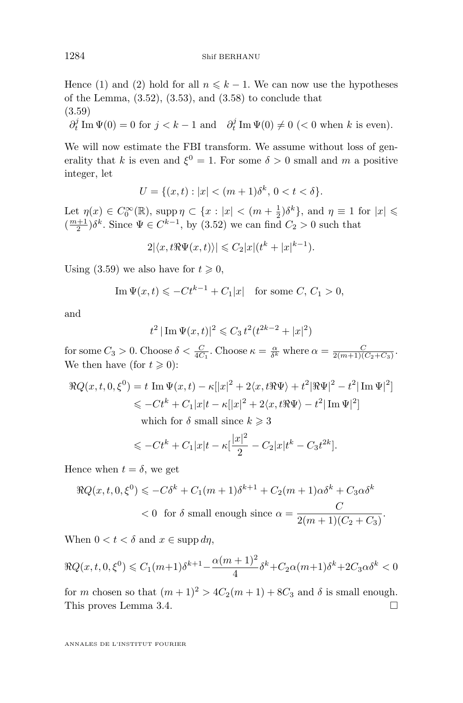Hence (1) and (2) hold for all  $n \leq k - 1$ . We can now use the hypotheses of the Lemma,  $(3.52)$ ,  $(3.53)$ , and  $(3.58)$  to conclude that (3.59)

$$
\partial_t^j \operatorname{Im} \Psi(0) = 0 \text{ for } j < k - 1 \text{ and } \partial_t^j \operatorname{Im} \Psi(0) \neq 0 \text{ (< 0 when } k \text{ is even)}.
$$

We will now estimate the FBI transform. We assume without loss of generality that k is even and  $\xi^0 = 1$ . For some  $\delta > 0$  small and m a positive integer, let

$$
U = \{(x, t) : |x| < (m+1)\delta^k, \, 0 < t < \delta\}.
$$

Let  $\eta(x) \in C_0^{\infty}(\mathbb{R})$ , supp $\eta \subset \{x : |x| < (m + \frac{1}{2})\delta^k\}$ , and  $\eta \equiv 1$  for  $|x| \leq$  $\left(\frac{m+1}{2}\right)\delta^k$ . Since  $\Psi \in C^{k-1}$ , by  $(3.52)$  we can find  $C_2 > 0$  such that

 $2|\langle x, t\Re \Psi(x, t)\rangle| \leqslant C_2|x|(t^k + |x|^{k-1}).$ 

Using (3.59) we also have for  $t \geq 0$ ,

$$
\operatorname{Im}\Psi(x,t)\leqslant -Ct^{k-1}+C_1|x|\quad\text{for some }C,\,C_1>0,
$$

and

$$
t^2 |\operatorname{Im} \Psi(x,t)|^2 \leq C_3 t^2 (t^{2k-2} + |x|^2)
$$

for some  $C_3 > 0$ . Choose  $\delta < \frac{C}{4C_1}$ . Choose  $\kappa = \frac{\alpha}{\delta^k}$  where  $\alpha = \frac{C}{2(m+1)(C_2+C_3)}$ . We then have (for  $t \geq 0$ ):

$$
\Re Q(x, t, 0, \xi^0) = t \operatorname{Im} \Psi(x, t) - \kappa ||x|^2 + 2\langle x, t \Re \Psi \rangle + t^2 |\Re \Psi|^2 - t^2 |\operatorname{Im} \Psi|^2]
$$
  

$$
\leq -Ct^k + C_1 |x|t - \kappa |x|^2 + 2\langle x, t \Re \Psi \rangle - t^2 |\operatorname{Im} \Psi|^2]
$$
  
which for  $\delta$  small since  $k > 3$ 

which for  $\delta$  small since  $k \geqslant 3$ 

$$
\leqslant -Ct^{k} + C_{1}|x|t - \kappa \left[\frac{|x|^{2}}{2} - C_{2}|x|t^{k} - C_{3}t^{2k}\right].
$$

Hence when  $t = \delta$ , we get

$$
\Re Q(x, t, 0, \xi^0) \leqslant -C\delta^k + C_1(m+1)\delta^{k+1} + C_2(m+1)\alpha\delta^k + C_3\alpha\delta^k
$$
  
< 0 for  $\delta$  small enough since  $\alpha = \frac{C}{2(m+1)(C_2 + C_3)}$ .

When  $0 < t < \delta$  and  $x \in \mathrm{supp} \, d\eta$ ,

$$
\Re Q(x, t, 0, \xi^0) \le C_1(m+1)\delta^{k+1} - \frac{\alpha(m+1)^2}{4}\delta^k + C_2\alpha(m+1)\delta^k + 2C_3\alpha\delta^k < 0
$$

for m chosen so that  $(m+1)^2 > 4C_2(m+1) + 8C_3$  and  $\delta$  is small enough. This proves Lemma [3.4.](#page-15-0)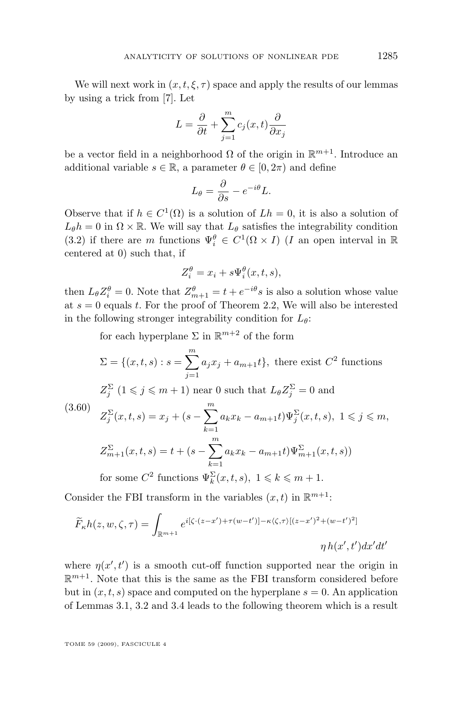<span id="page-19-0"></span>We will next work in  $(x, t, \xi, \tau)$  space and apply the results of our lemmas by using a trick from [\[7\]](#page-24-0). Let

$$
L = \frac{\partial}{\partial t} + \sum_{j=1}^{m} c_j(x, t) \frac{\partial}{\partial x_j}
$$

be a vector field in a neighborhood  $\Omega$  of the origin in  $\mathbb{R}^{m+1}$ . Introduce an additional variable  $s \in \mathbb{R}$ , a parameter  $\theta \in [0, 2\pi)$  and define

$$
L_{\theta} = \frac{\partial}{\partial s} - e^{-i\theta} L.
$$

Observe that if  $h \in C^1(\Omega)$  is a solution of  $Lh = 0$ , it is also a solution of  $L_{\theta}h = 0$  in  $\Omega \times \mathbb{R}$ . We will say that  $L_{\theta}$  satisfies the integrability condition [\(3.2\)](#page-5-0) if there are m functions  $\Psi_i^{\theta} \in C^1(\Omega \times I)$  (*I* an open interval in R centered at 0) such that, if

$$
Z_i^{\theta} = x_i + s \Psi_i^{\theta}(x, t, s),
$$

then  $L_{\theta} Z_i^{\theta} = 0$ . Note that  $Z_{m+1}^{\theta} = t + e^{-i\theta} s$  is also a solution whose value at  $s = 0$  equals t. For the proof of Theorem [2.2,](#page-3-0) We will also be interested in the following stronger integrability condition for  $L_{\theta}$ :

for each hyperplane  $\Sigma$  in  $\mathbb{R}^{m+2}$  of the form

$$
\Sigma = \{(x, t, s) : s = \sum_{j=1}^{m} a_j x_j + a_{m+1} t\}, \text{ there exist } C^2 \text{ functions}
$$
  
\n
$$
Z_j^{\Sigma} (1 \leq j \leq m+1) \text{ near } 0 \text{ such that } L_{\theta} Z_j^{\Sigma} = 0 \text{ and}
$$
  
\n(3.60) 
$$
Z_j^{\Sigma}(x, t, s) = x_j + (s - \sum_{k=1}^{m} a_k x_k - a_{m+1} t) \Psi_j^{\Sigma}(x, t, s), 1 \leq j \leq m,
$$
  
\n
$$
Z_{m+1}^{\Sigma}(x, t, s) = t + (s - \sum_{k=1}^{m} a_k x_k - a_{m+1} t) \Psi_{m+1}^{\Sigma}(x, t, s)
$$
  
\nfor some  $C^2$  functions  $\Psi_k^{\Sigma}(x, t, s), 1 \leq k \leq m+1$ .

Consider the FBI transform in the variables  $(x, t)$  in  $\mathbb{R}^{m+1}$ :

$$
\widetilde{F}_{\kappa}h(z,w,\zeta,\tau) = \int_{\mathbb{R}^{m+1}} e^{i[\zeta \cdot (z-x') + \tau (w-t')] - \kappa \langle \zeta, \tau \rangle [(z-x')^2 + (w-t')^2]}
$$

$$
\eta h(x',t') dx'dt'
$$

where  $\eta(x',t')$  is a smooth cut-off function supported near the origin in  $\mathbb{R}^{m+1}$ . Note that this is the same as the FBI transform considered before but in  $(x, t, s)$  space and computed on the hyperplane  $s = 0$ . An application of Lemmas [3.1,](#page-5-0) [3.2](#page-9-0) and [3.4](#page-15-0) leads to the following theorem which is a result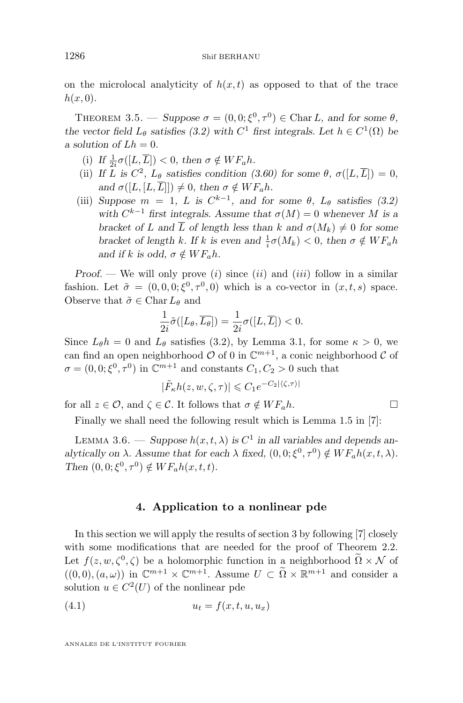<span id="page-20-0"></span>on the microlocal analyticity of  $h(x, t)$  as opposed to that of the trace  $h(x, 0)$ .

THEOREM 3.5. — *Suppose*  $\sigma = (0, 0; \xi^0, \tau^0) \in \text{Char } L$ , and for some  $\theta$ , *the vector field*  $L_{\theta}$  *satisfies* [\(3.2\)](#page-5-0) with  $C^1$  *first integrals.* Let  $h \in C^1(\Omega)$  *be a* solution of  $Lh = 0$ .

- (i) If  $\frac{1}{2i}\sigma([L,\overline{L}]) < 0$ , then  $\sigma \notin WF_{a}h$ .
- (ii) If L is  $C^2$ ,  $L_\theta$  satisfies condition [\(3.60\)](#page-19-0) for some  $\theta$ ,  $\sigma([L,\overline{L}]) = 0$ , *and*  $\sigma([L, [L, \overline{L}]]) \neq 0$ , then  $\sigma \notin WF_{a}h$ .
- (iii) *Suppose*  $m = 1$ , L is  $C^{k-1}$ , and for some  $\theta$ ,  $L_{\theta}$  satisfies [\(3.2\)](#page-5-0) *with*  $C^{k-1}$  *first integrals. Assume that*  $\sigma(M) = 0$  *whenever* M *is a bracket of* L and  $\overline{L}$  *of length less than* k and  $\sigma(M_k) \neq 0$  for some *bracket of length k. If k is even and*  $\frac{1}{i}\sigma(M_k) < 0$ *, then*  $\sigma \notin WF_a h$ *and if*  $k$  *is odd,*  $\sigma \notin WF_{a}h$ .

*Proof.* — We will only prove (*i*) since (*ii*) and (*iii*) follow in a similar fashion. Let  $\tilde{\sigma} = (0, 0, 0; \xi^0, \tau^0, 0)$  which is a co-vector in  $(x, t, s)$  space. Observe that  $\tilde{\sigma} \in \text{Char } L_{\theta}$  and

$$
\frac{1}{2i}\tilde{\sigma}([L_{\theta}, \overline{L_{\theta}}]) = \frac{1}{2i}\sigma([L, \overline{L}]) < 0.
$$

Since  $L_{\theta}h = 0$  and  $L_{\theta}$  satisfies [\(3.2\)](#page-5-0), by Lemma [3.1,](#page-5-0) for some  $\kappa > 0$ , we can find an open neighborhood  $O$  of 0 in  $\mathbb{C}^{m+1}$ , a conic neighborhood  $C$  of  $\sigma = (0, 0; \xi^0, \tau^0)$  in  $\mathbb{C}^{m+1}$  and constants  $C_1, C_2 > 0$  such that

$$
|\tilde{F}_{\kappa}h(z, w, \zeta, \tau)| \leq C_1 e^{-C_2|\langle \zeta, \tau \rangle|}
$$

for all  $z \in \mathcal{O}$ , and  $\zeta \in \mathcal{C}$ . It follows that  $\sigma \notin WF_{a}h$ .

Finally we shall need the following result which is Lemma 1.5 in [\[7\]](#page-24-0):

LEMMA 3.6. — Suppose  $h(x, t, \lambda)$  is  $C^1$  in all variables and depends an*alytically on*  $\lambda$ *. Assume that for each*  $\lambda$  *fixed,*  $(0, 0; \xi^0, \tau^0) \notin WF_a h(x, t, \lambda)$ *. Then*  $(0, 0; \xi^0, \tau^0) \notin WF_a h(x, t, t)$ *.* 

#### **4. Application to a nonlinear pde**

In this section we will apply the results of section [3](#page-4-0) by following [\[7\]](#page-24-0) closely with some modifications that are needed for the proof of Theorem [2.2.](#page-3-0) Let  $f(z, w, \zeta^0, \zeta)$  be a holomorphic function in a neighborhood  $\Omega \times \mathcal{N}$  of  $((0,0),(a,\omega))$  in  $\mathbb{C}^{m+1}\times\mathbb{C}^{m+1}$ . Assume  $U\subset\widetilde{\Omega}\times\mathbb{R}^{m+1}$  and consider a solution  $u \in C^2(U)$  of the nonlinear pde

$$
(4.1) \t\t u_t = f(x, t, u, u_x)
$$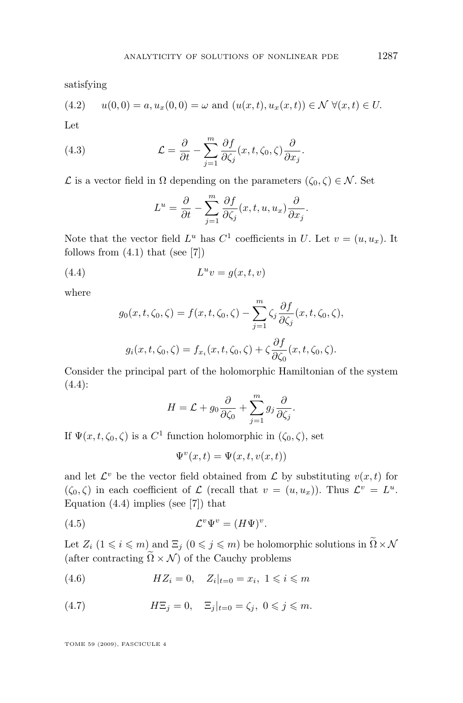<span id="page-21-0"></span>satisfying

$$
(4.2) \t u(0,0) = a, u_x(0,0) = \omega \text{ and } (u(x,t), u_x(x,t)) \in \mathcal{N} \ \forall (x,t) \in U.
$$

Let

(4.3) 
$$
\mathcal{L} = \frac{\partial}{\partial t} - \sum_{j=1}^{m} \frac{\partial f}{\partial \zeta_j} (x, t, \zeta_0, \zeta) \frac{\partial}{\partial x_j}.
$$

 $\mathcal L$  is a vector field in  $\Omega$  depending on the parameters  $(\zeta_0, \zeta) \in \mathcal N$ . Set

$$
L^{u} = \frac{\partial}{\partial t} - \sum_{j=1}^{m} \frac{\partial f}{\partial \zeta_{j}}(x, t, u, u_{x}) \frac{\partial}{\partial x_{j}}.
$$

Note that the vector field  $L^u$  has  $C^1$  coefficients in U. Let  $v = (u, u_x)$ . It follows from  $(4.1)$  that (see [\[7\]](#page-24-0))

$$
(4.4) \t\t\t Luv = g(x, t, v)
$$

where

$$
g_0(x, t, \zeta_0, \zeta) = f(x, t, \zeta_0, \zeta) - \sum_{j=1}^m \zeta_j \frac{\partial f}{\partial \zeta_j}(x, t, \zeta_0, \zeta),
$$
  

$$
g_i(x, t, \zeta_0, \zeta) = f_{x_i}(x, t, \zeta_0, \zeta) + \zeta \frac{\partial f}{\partial \zeta_0}(x, t, \zeta_0, \zeta).
$$

Consider the principal part of the holomorphic Hamiltonian of the system (4.4):

$$
H = \mathcal{L} + g_0 \frac{\partial}{\partial \zeta_0} + \sum_{j=1}^m g_j \frac{\partial}{\partial \zeta_j}.
$$

If  $\Psi(x, t, \zeta_0, \zeta)$  is a  $C^1$  function holomorphic in  $(\zeta_0, \zeta)$ , set

$$
\Psi^v(x,t) = \Psi(x,t,v(x,t))
$$

and let  $\mathcal{L}^v$  be the vector field obtained from  $\mathcal L$  by substituting  $v(x, t)$  for  $(\zeta_0, \zeta)$  in each coefficient of  $\mathcal L$  (recall that  $v = (u, u_x)$ ). Thus  $\mathcal L^v = L^u$ . Equation  $(4.4)$  implies (see [\[7\]](#page-24-0)) that

$$
(4.5) \t\t \t\t \mathcal{L}^v \Psi^v = (H\Psi)^v.
$$

Let  $Z_i$   $(1 \leq i \leq m)$  and  $\Xi_j$   $(0 \leq j \leq m)$  be holomorphic solutions in  $\widetilde{\Omega} \times \mathcal{N}$ (after contracting  $\widetilde{\Omega} \times \mathcal{N}$ ) of the Cauchy problems

(4.6) 
$$
HZ_i = 0, \quad Z_i|_{t=0} = x_i, \ 1 \leq i \leq m
$$

(4.7) 
$$
H\Xi_j = 0, \quad \Xi_j|_{t=0} = \zeta_j, \ 0 \leqslant j \leqslant m.
$$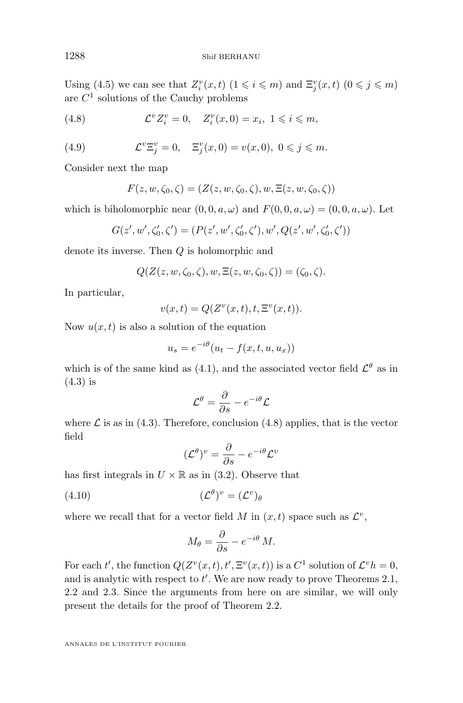<span id="page-22-0"></span>Using [\(4.5\)](#page-21-0) we can see that  $Z_i^v(x,t)$   $(1 \leq i \leq m)$  and  $\Xi_j^v(x,t)$   $(0 \leq j \leq m)$ are  $C<sup>1</sup>$  solutions of the Cauchy problems

(4.8) 
$$
\mathcal{L}^v Z_i^v = 0, \quad Z_i^v(x,0) = x_i, \ 1 \leq i \leq m,
$$

(4.9) 
$$
\mathcal{L}^v \Xi_j^v = 0, \quad \Xi_j^v(x,0) = v(x,0), \ 0 \leq j \leq m.
$$

Consider next the map

$$
F(z, w, \zeta_0, \zeta) = (Z(z, w, \zeta_0, \zeta), w, \Xi(z, w, \zeta_0, \zeta))
$$

which is biholomorphic near  $(0, 0, a, \omega)$  and  $F(0, 0, a, \omega) = (0, 0, a, \omega)$ . Let

$$
G(z', w', \zeta'_0, \zeta') = (P(z', w', \zeta'_0, \zeta'), w', Q(z', w', \zeta'_0, \zeta'))
$$

denote its inverse. Then Q is holomorphic and

$$
Q(Z(z, w, \zeta_0, \zeta), w, \Xi(z, w, \zeta_0, \zeta)) = (\zeta_0, \zeta).
$$

In particular,

$$
v(x,t) = Q(Z^v(x,t), t, \Xi^v(x,t)).
$$

Now  $u(x, t)$  is also a solution of the equation

$$
u_s = e^{-i\theta}(u_t - f(x, t, u, u_x))
$$

which is of the same kind as [\(4.1\)](#page-20-0), and the associated vector field  $\mathcal{L}^{\theta}$  as in [\(4.3\)](#page-21-0) is

$$
\mathcal{L}^{\theta} = \frac{\partial}{\partial s} - e^{-i\theta} \mathcal{L}
$$

where  $\mathcal L$  is as in [\(4.3\)](#page-21-0). Therefore, conclusion (4.8) applies, that is the vector field

$$
(\mathcal{L}^{\theta})^v = \frac{\partial}{\partial s} - e^{-i\theta} \mathcal{L}^v
$$

has first integrals in  $U \times \mathbb{R}$  as in [\(3.2\)](#page-5-0). Observe that

$$
(4.10)\qquad \qquad (\mathcal{L}^{\theta})^{\nu} = (\mathcal{L}^{\nu})_{\theta}
$$

where we recall that for a vector field M in  $(x, t)$  space such as  $\mathcal{L}^v$ ,

$$
M_{\theta} = \frac{\partial}{\partial s} - e^{-i\theta} M.
$$

For each t', the function  $Q(Z^v(x,t), t', \Xi^v(x,t))$  is a  $C^1$  solution of  $\mathcal{L}^v h = 0$ , and is analytic with respect to  $t'$ . We are now ready to prove Theorems [2.1,](#page-3-0) [2.2](#page-3-0) and [2.3.](#page-3-0) Since the arguments from here on are similar, we will only present the details for the proof of Theorem [2.2.](#page-3-0)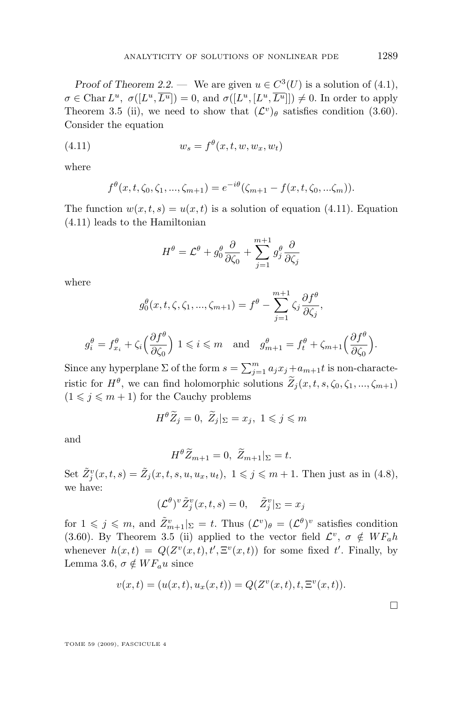*Proof of Theorem [2.2.](#page-3-0)* — We are given  $u \in C^3(U)$  is a solution of [\(4.1\)](#page-20-0),  $\sigma \in \text{Char } L^u, \ \sigma([L^u, \overline{L^u}]) = 0, \text{ and } \sigma([L^u, [L^u, \overline{L^u}]]) \neq 0.$  In order to apply Theorem [3.5](#page-20-0) (ii), we need to show that  $(\mathcal{L}^v)_{\theta}$  satisfies condition [\(3.60\)](#page-19-0). Consider the equation

$$
(4.11) \t\t w_s = f^{\theta}(x, t, w, w_x, w_t)
$$

where

$$
f^{\theta}(x,t,\zeta_0,\zeta_1,...,\zeta_{m+1}) = e^{-i\theta}(\zeta_{m+1} - f(x,t,\zeta_0,...,\zeta_m)).
$$

The function  $w(x, t, s) = u(x, t)$  is a solution of equation (4.11). Equation (4.11) leads to the Hamiltonian

$$
H^{\theta} = \mathcal{L}^{\theta} + g_0^{\theta} \frac{\partial}{\partial \zeta_0} + \sum_{j=1}^{m+1} g_j^{\theta} \frac{\partial}{\partial \zeta_j}
$$

where

$$
g_0^{\theta}(x, t, \zeta, \zeta_1, ..., \zeta_{m+1}) = f^{\theta} - \sum_{j=1}^{m+1} \zeta_j \frac{\partial f^{\theta}}{\partial \zeta_j},
$$

$$
g_i^{\theta} = f_{x_i}^{\theta} + \zeta_i \left(\frac{\partial f^{\theta}}{\partial \zeta_0}\right) 1 \leqslant i \leqslant m \quad \text{and} \quad g_{m+1}^{\theta} = f_t^{\theta} + \zeta_{m+1} \left(\frac{\partial f^{\theta}}{\partial \zeta_0}\right).
$$

Since any hyperplane  $\Sigma$  of the form  $s = \sum_{j=1}^{m} a_j x_j + a_{m+1}t$  is non-characteristic for  $H^{\theta}$ , we can find holomorphic solutions  $Z_j(x, t, s, \zeta_0, \zeta_1, ..., \zeta_{m+1})$  $(1 \leq j \leq m + 1)$  for the Cauchy problems

$$
H^{\theta}\widetilde{Z}_j=0, \ \widetilde{Z}_j|_{\Sigma}=x_j, \ 1\leqslant j\leqslant m
$$

and

$$
H^{\theta}\widetilde{Z}_{m+1}=0, \ \widetilde{Z}_{m+1}|_{\Sigma}=t.
$$

Set  $\tilde{Z}_j^v(x,t,s) = \tilde{Z}_j(x,t,s,u,u_x,u_t), 1 \leqslant j \leqslant m+1$ . Then just as in [\(4.8\)](#page-22-0), we have:

$$
(\mathcal{L}^{\theta})^v \tilde{Z}_j^v(x,t,s) = 0, \quad \tilde{Z}_j^v|_{\Sigma} = x_j
$$

for  $1 \leqslant j \leqslant m$ , and  $\tilde{Z}_{m+1}^v|_{\Sigma} = t$ . Thus  $(\mathcal{L}^v)_{\theta} = (\mathcal{L}^{\theta})^v$  satisfies condition [\(3.60\)](#page-19-0). By Theorem [3.5](#page-20-0) (ii) applied to the vector field  $\mathcal{L}^v$ ,  $\sigma \notin WF_{a}h$ whenever  $h(x,t) = Q(Z^v(x,t), t', \Xi^v(x,t))$  for some fixed t'. Finally, by Lemma [3.6,](#page-20-0)  $\sigma \notin WF_{\mathfrak{a}}u$  since

$$
v(x,t) = (u(x,t), u_x(x,t)) = Q(Z^v(x,t), t, \Xi^v(x,t)).
$$

 $\Box$